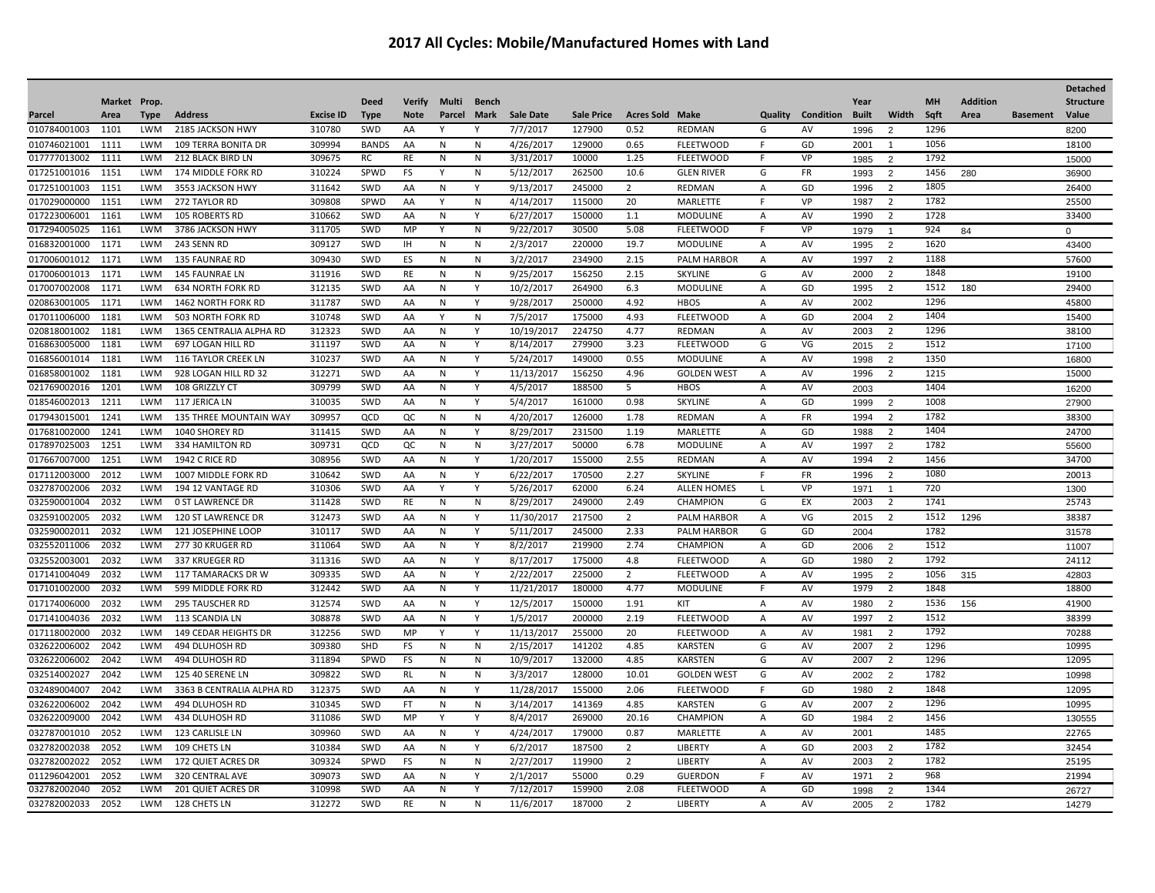|                              |              |                          |                                   |                  |              |               |              |                |                        |                   |                        |                           |                     |           |              |                     |           |                 |                 | <b>Detached</b>  |
|------------------------------|--------------|--------------------------|-----------------------------------|------------------|--------------|---------------|--------------|----------------|------------------------|-------------------|------------------------|---------------------------|---------------------|-----------|--------------|---------------------|-----------|-----------------|-----------------|------------------|
|                              | Market Prop. |                          |                                   |                  | <b>Deed</b>  | <b>Verify</b> | Multi        | <b>Bench</b>   |                        |                   |                        |                           |                     |           | Year         |                     | <b>MH</b> | <b>Addition</b> |                 | <b>Structure</b> |
| Parcel                       | Area         | <b>Type</b>              | <b>Address</b>                    | <b>Excise ID</b> | <b>Type</b>  | <b>Note</b>   | Parcel       | Mark           | <b>Sale Date</b>       | <b>Sale Price</b> | <b>Acres Sold Make</b> |                           | Quality             | Condition | <b>Built</b> | Width               | Sqft      | Area            | <b>Basement</b> | Value            |
| 010784001003                 | 1101         | <b>LWM</b>               | 2185 JACKSON HWY                  | 310780           | SWD          | AA            |              | Υ              | 7/7/2017               | 127900            | 0.52                   | <b>REDMAN</b>             | G                   | AV        | 1996         | $\overline{2}$      | 1296      |                 |                 | 8200             |
| 010746021001                 | 1111         | <b>LWM</b>               | <b>109 TERRA BONITA DR</b>        | 309994           | <b>BANDS</b> | AA            | N            | N              | 4/26/2017              | 129000            | 0.65                   | <b>FLEETWOOD</b>          | $\mathsf{F}$        | GD        | 2001         | -1                  | 1056      |                 |                 | 18100            |
| 017777013002                 | 1111         | <b>LWM</b>               | 212 BLACK BIRD LN                 | 309675           | RC           | RE            | N            | N              | 3/31/2017              | 10000             | 1.25                   | <b>FLEETWOOD</b>          | F                   | VP        | 1985         | 2                   | 1792      |                 |                 | 15000            |
| 017251001016                 | 1151         | <b>LWM</b>               | 174 MIDDLE FORK RD                | 310224           | SPWD         | FS            | Υ            | N              | 5/12/2017              | 262500            | 10.6                   | <b>GLEN RIVER</b>         | G                   | FR        | 1993         | 2                   | 1456      | 280             |                 | 36900            |
| 017251001003                 | 1151         | <b>LWM</b>               | 3553 JACKSON HWY                  | 311642           | SWD          | AA            | N            | Y              | 9/13/2017              | 245000            | 2                      | <b>REDMAN</b>             | $\overline{A}$      | GD        | 1996         | $\overline{2}$      | 1805      |                 |                 | 26400            |
| 017029000000                 | 1151         | <b>LWM</b>               | 272 TAYLOR RD                     | 309808           | SPWD         | AA            | Y            | N              | 4/14/2017              | 115000            | 20                     | MARLETTE                  | F                   | VP        | 1987         | $\overline{2}$      | 1782      |                 |                 | 25500            |
| 017223006001                 | 1161         | <b>LWM</b>               | <b>105 ROBERTS RD</b>             | 310662           | SWD          | AA            | N            | Y              | 6/27/2017              | 150000            | 1.1                    | <b>MODULINE</b>           | A                   | AV        | 1990         | $\overline{2}$      | 1728      |                 |                 | 33400            |
| 017294005025                 | 1161         | <b>LWM</b>               | 3786 JACKSON HWY                  | 311705           | SWD          | MP            |              | N              | 9/22/2017              | 30500             | 5.08                   | <b>FLEETWOOD</b>          | F                   | VP        | 1979         | -1                  | 924       | 84              |                 | $\Omega$         |
| 016832001000                 | 1171         | <b>LWM</b>               | 243 SENN RD                       | 309127           | SWD          | IH.           | N            | N              | 2/3/2017               | 220000            | 19.7                   | <b>MODULINE</b>           | $\overline{A}$      | AV        | 1995         | $\overline{2}$      | 1620      |                 |                 | 43400            |
| 017006001012                 | 1171         | <b>LWM</b>               | <b>135 FAUNRAE RD</b>             | 309430           | SWD          | ES            | N            | N              | 3/2/2017               | 234900            | 2.15                   | PALM HARBOR               | $\overline{A}$      | AV        | 1997         | $\overline{2}$      | 1188      |                 |                 | 57600            |
| 017006001013                 | 1171         | <b>LWM</b>               | <b>145 FAUNRAE LN</b>             | 311916           | SWD          | RE            | N            | N              | 9/25/2017              | 156250            | 2.15                   | <b>SKYLINE</b>            | G                   | AV        | 2000         | $\overline{2}$      | 1848      |                 |                 | 19100            |
| 017007002008                 | 1171         | <b>LWM</b>               | <b>634 NORTH FORK RD</b>          | 312135           | SWD          | AA            | N            | Y              | 10/2/2017              | 264900            | 6.3                    | <b>MODULINE</b>           | $\overline{A}$      | GD        | 1995         | $\overline{2}$      | 1512      | 180             |                 | 29400            |
| 020863001005                 | 1171         | <b>LWM</b>               | 1462 NORTH FORK RD                | 311787           | SWD          | AA            | N            | Y              | 9/28/2017              | 250000            | 4.92                   | <b>HBOS</b>               | A                   | AV        | 2002         |                     | 1296      |                 |                 | 45800            |
| 017011006000                 | 1181         | <b>LWM</b>               | 503 NORTH FORK RD                 | 310748           | SWD          | AA            | Y            | N              | 7/5/2017               | 175000            | 4.93                   | <b>FLEETWOOD</b>          | A                   | GD        | 2004         | $\overline{2}$      | 1404      |                 |                 | 15400            |
| 020818001002                 | 1181         | <b>LWM</b>               | 1365 CENTRALIA ALPHA RD           | 312323           | SWD          | AA            | ${\sf N}$    | Y              | 10/19/2017             | 224750            | 4.77                   | <b>REDMAN</b>             | $\overline{A}$      | AV        | 2003         | $\overline{2}$      | 1296      |                 |                 | 38100            |
| 016863005000                 | 1181         | <b>LWM</b>               | 697 LOGAN HILL RD                 | 311197           | SWD          | AA            | N            | Υ              | 8/14/2017              | 279900            | 3.23                   | <b>FLEETWOOD</b>          | G                   | VG        | 2015         | 2                   | 1512      |                 |                 | 17100            |
| 016856001014                 | 1181         | <b>LWM</b>               | 116 TAYLOR CREEK LN               | 310237           | SWD          | AA            | N            | Υ              | 5/24/2017              | 149000            | 0.55                   | <b>MODULINE</b>           | $\overline{A}$      | AV        | 1998         | 2                   | 1350      |                 |                 | 16800            |
| 016858001002                 | 1181         | LWM                      | 928 LOGAN HILL RD 32              | 312271           | SWD          | AA            | N            | Υ              | 11/13/2017             | 156250            | 4.96                   | <b>GOLDEN WEST</b>        | Α                   | AV        | 1996         | $\overline{2}$      | 1215      |                 |                 | 15000            |
| 021769002016                 | 1201         | LWM                      | 108 GRIZZLY CT                    | 309799           | SWD          | AA            | N            | Υ              | 4/5/2017               | 188500            | 5                      | <b>HBOS</b>               | $\mathsf{A}$        | AV        | 2003         |                     | 1404      |                 |                 | 16200            |
| 018546002013                 | 1211         | <b>LWM</b>               | 117 JERICA LN                     | 310035           | SWD          | AA            | N            | Υ              | 5/4/2017               | 161000            | 0.98                   | <b>SKYLINE</b>            | $\mathsf{A}$        | GD        | 1999         | $\overline{2}$      | 1008      |                 |                 | 27900            |
| 017943015001                 | 1241         | <b>LWM</b>               | 135 THREE MOUNTAIN WAY            | 309957           | QCD          | QC            |              |                |                        | 126000            | 1.78                   | <b>REDMAN</b>             | $\overline{A}$      |           | 1994         | $\overline{2}$      | 1782      |                 |                 | 38300            |
|                              |              |                          |                                   |                  |              |               | N            | N              | 4/20/2017              |                   |                        |                           |                     | FR        |              |                     | 1404      |                 |                 |                  |
| 017681002000<br>017897025003 | 1241<br>1251 | <b>LWM</b><br><b>LWM</b> | 1040 SHOREY RD                    | 311415<br>309731 | SWD<br>QCD   | AA            | N            | Y<br>N         | 8/29/2017<br>3/27/2017 | 231500<br>50000   | 1.19<br>6.78           | <b>MARLETTE</b>           | $\overline{A}$      | GD        | 1988         | $\overline{2}$      | 1782      |                 |                 | 24700            |
| 017667007000                 | 1251         | <b>LWM</b>               | 334 HAMILTON RD<br>1942 C RICE RD | 308956           | SWD          | QC<br>AA      | N<br>N       | Υ              |                        | 155000            | 2.55                   | <b>MODULINE</b><br>REDMAN | A<br>$\overline{A}$ | AV<br>AV  | 1997<br>1994 | 2<br>$\overline{2}$ | 1456      |                 |                 | 55600<br>34700   |
|                              |              |                          |                                   |                  |              |               |              |                | 1/20/2017              |                   |                        |                           |                     |           |              |                     |           |                 |                 |                  |
| 017112003000                 | 2012         | <b>LWM</b>               | 1007 MIDDLE FORK RD               | 310642           | SWD          | AA            | N            | Y              | 6/22/2017              | 170500            | 2.27                   | SKYLINE                   | F.                  | FR        | 1996         | $\overline{2}$      | 1080      |                 |                 | 20013            |
| 032787002006                 | 2032         | <b>LWM</b>               | 194 12 VANTAGE RD                 | 310306           | SWD          | AA            | Y            | Y              | 5/26/2017              | 62000             | 6.24                   | <b>ALLEN HOMES</b>        | $\mathsf{L}$        | VP        | 1971         | $\overline{1}$      | 720       |                 |                 | 1300             |
| 032590001004                 | 2032         | LWM                      | <b>0 ST LAWRENCE DR</b>           | 311428           | SWD          | RE            | N            | N              | 8/29/2017              | 249000            | 2.49                   | CHAMPION                  | G                   | EX        | 2003         | $\overline{2}$      | 1741      |                 |                 | 25743            |
| 032591002005                 | 2032         | <b>LWM</b>               | <b>120 ST LAWRENCE DR</b>         | 312473           | SWD          | AA            | $\mathsf{N}$ | Y              | 11/30/2017             | 217500            | $\overline{2}$         | <b>PALM HARBOR</b>        | $\overline{A}$      | VG        | 2015         | $\overline{2}$      | 1512      | 1296            |                 | 38387            |
| 032590002011                 | 2032         | LWM                      | 121 JOSEPHINE LOOP                | 310117           | SWD          | AA            | N            | Υ              | 5/11/2017              | 245000            | 2.33                   | PALM HARBOR               | G                   | GD        | 2004         |                     | 1782      |                 |                 | 31578            |
| 032552011006                 | 2032         | <b>LWM</b>               | 277 30 KRUGER RD                  | 311064           | SWD          | AA            | N            | Υ              | 8/2/2017               | 219900            | 2.74                   | CHAMPION                  | $\mathsf{A}$        | GD        | 2006         | $\overline{2}$      | 1512      |                 |                 | 11007            |
| 032552003001                 | 2032         | LWM                      | 337 KRUEGER RD                    | 311316           | SWD          | AA            | N            | Υ              | 8/17/2017              | 175000            | 4.8                    | <b>FLEETWOOD</b>          | A                   | GD        | 1980         | $\overline{2}$      | 1792      |                 |                 | 24112            |
| 017141004049                 | 2032         | <b>LWM</b>               | 117 TAMARACKS DR W                | 309335           | SWD          | AA            | N            | Υ              | 2/22/2017              | 225000            | 2                      | <b>FLEETWOOD</b>          | $\overline{A}$      | AV        | 1995         | $\overline{2}$      | 1056      | 315             |                 | 42803            |
| 017101002000                 | 2032         | <b>LWM</b>               | 599 MIDDLE FORK RD                | 312442           | SWD          | AA            | N            | Y              | 11/21/2017             | 180000            | 4.77                   | <b>MODULINE</b>           | F                   | AV        | 1979         | $\overline{2}$      | 1848      |                 |                 | 18800            |
| 017174006000                 | 2032         | LWM                      | <b>295 TAUSCHER RD</b>            | 312574           | SWD          | AA            | N            | Y              | 12/5/2017              | 150000            | 1.91                   | KIT                       | $\overline{A}$      | AV        | 1980         | $\overline{2}$      | 1536      | 156             |                 | 41900            |
| 017141004036                 | 2032         | <b>LWM</b>               | 113 SCANDIA LN                    | 308878           | SWD          | AA            | N            | Y              | 1/5/2017               | 200000            | 2.19                   | <b>FLEETWOOD</b>          | $\mathsf{A}$        | AV        | 1997         | $\overline{2}$      | 1512      |                 |                 | 38399            |
| 017118002000                 | 2032         | <b>LWM</b>               | 149 CEDAR HEIGHTS DR              | 312256           | SWD          | MP            | Y            | Y              | 11/13/2017             | 255000            | 20                     | <b>FLEETWOOD</b>          | $\overline{A}$      | AV        | 1981         | $\overline{2}$      | 1792      |                 |                 | 70288            |
| 032622006002                 | 2042         | <b>LWM</b>               | 494 DLUHOSH RD                    | 309380           | SHD          | <b>FS</b>     | N            | ${\sf N}$      | 2/15/2017              | 141202            | 4.85                   | <b>KARSTEN</b>            | G                   | AV        | 2007         | $\overline{2}$      | 1296      |                 |                 | 10995            |
| 032622006002                 | 2042         | <b>LWM</b>               | 494 DLUHOSH RD                    | 311894           | SPWD         | <b>FS</b>     | N            | N              | 10/9/2017              | 132000            | 4.85                   | <b>KARSTEN</b>            | G                   | AV        | 2007         | $\overline{2}$      | 1296      |                 |                 | 12095            |
| 032514002027                 | 2042         | <b>LWM</b>               | 125 40 SERENE LN                  | 309822           | SWD          | <b>RL</b>     | ${\sf N}$    | N              | 3/3/2017               | 128000            | 10.01                  | <b>GOLDEN WEST</b>        | G                   | AV        | 2002         | 2                   | 1782      |                 |                 | 10998            |
| 032489004007                 | 2042         | <b>LWM</b>               | 3363 B CENTRALIA ALPHA RD         | 312375           | SWD          | AA            | N            | Y              | 11/28/2017             | 155000            | 2.06                   | <b>FLEETWOOD</b>          | F                   | GD        | 1980         | $\overline{2}$      | 1848      |                 |                 | 12095            |
| 032622006002                 | 2042         | LWM                      | 494 DLUHOSH RD                    | 310345           | SWD          | <b>FT</b>     | N            | N              | 3/14/2017              | 141369            | 4.85                   | <b>KARSTEN</b>            | G                   | AV        | 2007         | $\overline{2}$      | 1296      |                 |                 | 10995            |
| 032622009000                 | 2042         | LWM                      | 434 DLUHOSH RD                    | 311086           | SWD          | MP            | Y            | Υ              | 8/4/2017               | 269000            | 20.16                  | <b>CHAMPION</b>           | $\overline{A}$      | GD        | 1984         | $\overline{2}$      | 1456      |                 |                 | 130555           |
| 032787001010                 | 2052         | LWM                      | 123 CARLISLE LN                   | 309960           | SWD          | AA            | N            | Y              | 4/24/2017              | 179000            | 0.87                   | MARLETTE                  | A                   | AV        | 2001         |                     | 1485      |                 |                 | 22765            |
| 032782002038                 | 2052         | LWM                      | 109 CHETS LN                      | 310384           | SWD          | AA            | N            | Υ              | 6/2/2017               | 187500            | $\overline{2}$         | <b>LIBERTY</b>            | Α                   | GD        | 2003         | $\overline{2}$      | 1782      |                 |                 | 32454            |
| 032782002022                 | 2052         | <b>LWM</b>               | <b>172 QUIET ACRES DR</b>         | 309324           | SPWD         | <b>FS</b>     | N            | N              | 2/27/2017              | 119900            | 2                      | LIBERTY                   | $\overline{A}$      | AV        | 2003         | $\overline{2}$      | 1782      |                 |                 | 25195            |
| 011296042001                 | 2052         | <b>LWM</b>               | <b>320 CENTRAL AVE</b>            | 309073           | SWD          | AA            | N            | Y              | 2/1/2017               | 55000             | 0.29                   | <b>GUERDON</b>            | F.                  | AV        | 1971         | $\overline{2}$      | 968       |                 |                 | 21994            |
| 032782002040                 | 2052         | <b>LWM</b>               | <b>201 QUIET ACRES DR</b>         | 310998           | SWD          | AA            | N            | Y              | 7/12/2017              | 159900            | 2.08                   | <b>FLEETWOOD</b>          | A                   | GD        | 1998         | 2                   | 1344      |                 |                 | 26727            |
| 032782002033                 | 2052         | <b>LWM</b>               | 128 CHETS LN                      | 312272           | SWD          | <b>RE</b>     | N            | $\overline{N}$ | 11/6/2017              | 187000            | $\overline{2}$         | <b>LIBERTY</b>            | $\overline{A}$      | AV        | 2005         | $\overline{2}$      | 1782      |                 |                 | 14279            |
|                              |              |                          |                                   |                  |              |               |              |                |                        |                   |                        |                           |                     |           |              |                     |           |                 |                 |                  |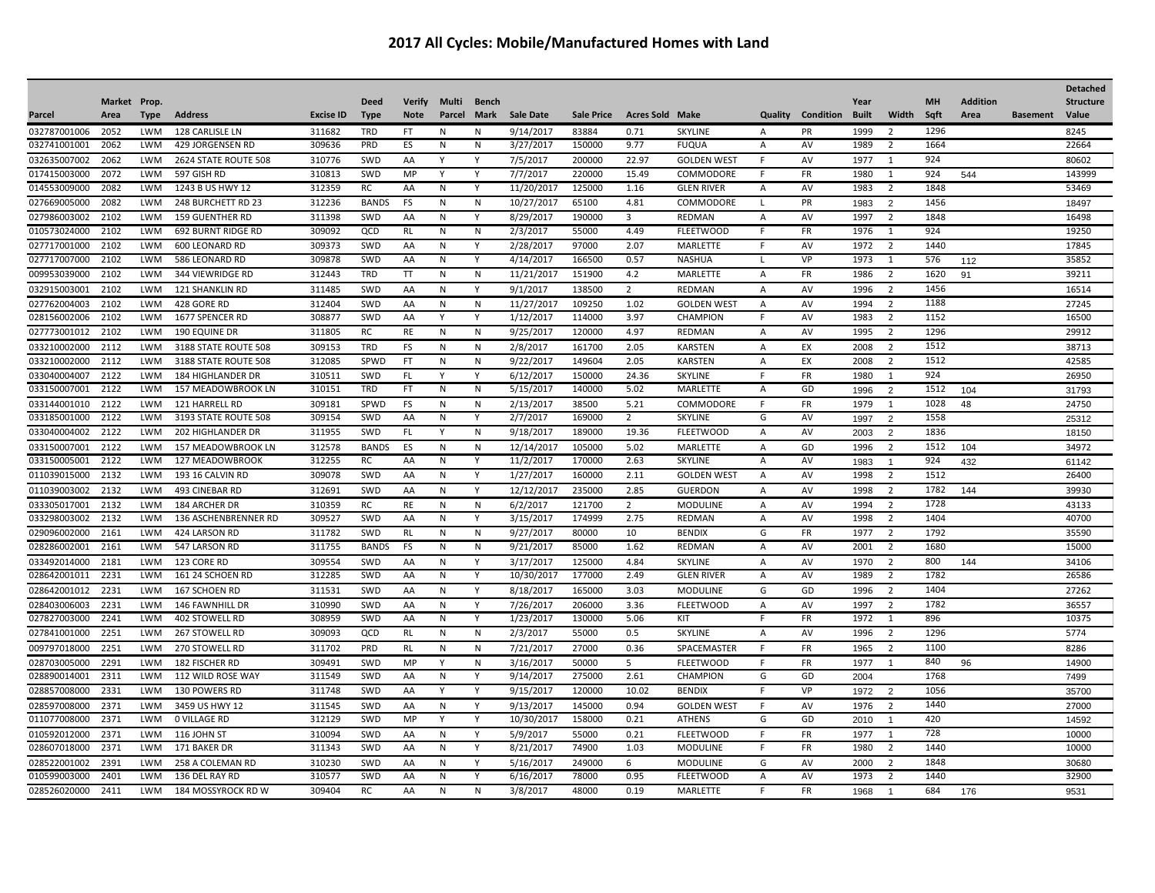|                              |              |                          |                                       |                  |              |               |        |                |                         |                   |                        |                                     |                |                 |              |                                |      |                 |                 | <b>Detached</b>  |
|------------------------------|--------------|--------------------------|---------------------------------------|------------------|--------------|---------------|--------|----------------|-------------------------|-------------------|------------------------|-------------------------------------|----------------|-----------------|--------------|--------------------------------|------|-----------------|-----------------|------------------|
|                              | Market Prop. |                          |                                       |                  | <b>Deed</b>  | <b>Verify</b> | Multi  | Bench          |                         |                   |                        |                                     |                |                 | Year         |                                | MH   | <b>Addition</b> |                 | <b>Structure</b> |
| Parcel                       | Area         | Type                     | <b>Address</b>                        | <b>Excise ID</b> | <b>Type</b>  | <b>Note</b>   | Parcel | Mark           | <b>Sale Date</b>        | <b>Sale Price</b> | <b>Acres Sold Make</b> |                                     | Quality        | Condition       | <b>Built</b> | Width                          | Sqft | Area            | <b>Basement</b> | Value            |
| 032787001006                 | 2052         | LWM                      | 128 CARLISLE LN                       | 311682           | TRD          | FT.           | N      | N              | 9/14/2017               | 83884             | 0.71                   | <b>SKYLINE</b>                      | $\overline{A}$ | PR              | 1999         | $\overline{\phantom{a}}$       | 1296 |                 |                 | 8245             |
| 032741001001                 | 2062         | LWM                      | 429 JORGENSEN RD                      | 309636           | PRD          | ES            | N      | N              | 3/27/2017               | 150000            | 9.77                   | <b>FUQUA</b>                        | Α              | AV              | 1989         | $\overline{2}$                 | 1664 |                 |                 | 22664            |
| 032635007002                 | 2062         | <b>LWM</b>               | 2624 STATE ROUTE 508                  | 310776           | SWD          | AA            | Y      | Y              | 7/5/2017                | 200000            | 22.97                  | <b>GOLDEN WEST</b>                  | F              | AV              | 1977         | 1                              | 924  |                 |                 | 80602            |
| 017415003000                 | 2072         | <b>LWM</b>               | 597 GISH RD                           | 310813           | SWD          | <b>MP</b>     | v      | Υ              | 7/7/2017                | 220000            | 15.49                  | COMMODORE                           | F              | FR              | 1980         | 1                              | 924  | 544             |                 | 143999           |
| 014553009000                 | 2082         | <b>LWM</b>               | 1243 B US HWY 12                      | 312359           | <b>RC</b>    | AA            | N      | Υ              | 11/20/2017              | 125000            | 1.16                   | <b>GLEN RIVER</b>                   | A              | AV              | 1983         | 2                              | 1848 |                 |                 | 53469            |
| 027669005000                 | 2082         | <b>LWM</b>               | 248 BURCHETT RD 23                    | 312236           | <b>BANDS</b> | <b>FS</b>     | N      | N              | 10/27/2017              | 65100             | 4.81                   | COMMODORE                           | $\mathsf{L}$   | PR              | 1983         | $\overline{2}$                 | 1456 |                 |                 | 18497            |
| 027986003002                 | 2102         | <b>LWM</b>               | <b>159 GUENTHER RD</b>                | 311398           | SWD          | AA            | N      | Υ              | 8/29/2017               | 190000            | $\overline{3}$         | <b>REDMAN</b>                       | Α              | AV              | 1997         | $\overline{2}$                 | 1848 |                 |                 | 16498            |
| 010573024000                 | 2102         | LWM                      | <b>692 BURNT RIDGE RD</b>             | 309092           | QCD          | RL            | N      | $\overline{N}$ | 2/3/2017                | 55000             | 4.49                   | <b>FLEETWOOD</b>                    | E              | FR              | 1976         | $\mathbf{1}$                   | 924  |                 |                 | 19250            |
| 027717001000                 | 2102         | <b>LWM</b>               | <b>600 LEONARD RD</b>                 | 309373           | SWD          | AA            | N      | Υ              | 2/28/2017               | 97000             | 2.07                   | <b>MARLETTE</b>                     | F              | AV              | 1972         | 2                              | 1440 |                 |                 | 17845            |
| 027717007000                 | 2102         | <b>LWM</b>               | 586 LEONARD RD                        | 309878           | SWD          | AA            | N      | Y              | 4/14/2017               | 166500            | 0.57                   | <b>NASHUA</b>                       | L              | VP              | 1973         | 1                              | 576  | 112             |                 | 35852            |
| 009953039000                 | 2102         | <b>LWM</b>               | 344 VIEWRIDGE RD                      | 312443           | <b>TRD</b>   | <b>TT</b>     | N      | N              | 11/21/2017              | 151900            | 4.2                    | MARLETTE                            | Α              | FR              | 1986         | $\overline{2}$                 | 1620 | 91              |                 | 39211            |
| 032915003001                 | 2102         | <b>LWM</b>               | <b>121 SHANKLIN RD</b>                | 311485           | SWD          | AA            | N      | Y              | 9/1/2017                | 138500            | $\overline{2}$         | <b>REDMAN</b>                       | Α              | AV              | 1996         | $\overline{2}$                 | 1456 |                 |                 | 16514            |
| 027762004003                 | 2102         | <b>LWM</b>               | 428 GORE RD                           | 312404           | SWD          | AA            | N      | N              | 11/27/2017              | 109250            | 1.02                   | <b>GOLDEN WEST</b>                  | $\overline{A}$ | AV              | 1994         | $\overline{2}$                 | 1188 |                 |                 | 27245            |
| 028156002006                 | 2102         | <b>LWM</b>               | 1677 SPENCER RD                       | 308877           | SWD          | AA            | Y      | Y              | 1/12/2017               | 114000            | 3.97                   | CHAMPION                            | E              | AV              | 1983         | $\overline{2}$                 | 1152 |                 |                 | 16500            |
| 027773001012                 | 2102         | <b>LWM</b>               | 190 EQUINE DR                         | 311805           | <b>RC</b>    | RE            | N      | ${\sf N}$      | 9/25/2017               | 120000            | 4.97                   | REDMAN                              | Α              | AV              | 1995         | $\overline{2}$                 | 1296 |                 |                 | 29912            |
| 033210002000                 | 2112         | <b>LWM</b>               | 3188 STATE ROUTE 508                  | 309153           | <b>TRD</b>   | <b>FS</b>     | N      | N              | 2/8/2017                | 161700            | 2.05                   | <b>KARSTEN</b>                      | $\overline{A}$ | EX              | 2008         | $\overline{2}$                 | 1512 |                 |                 | 38713            |
| 033210002000                 | 2112         | <b>LWM</b>               | 3188 STATE ROUTE 508                  | 312085           | SPWD         | <b>FT</b>     | N      | N              | 9/22/2017               | 149604            | 2.05                   | <b>KARSTEN</b>                      | Α              | EX              | 2008         | $\overline{2}$                 | 1512 |                 |                 | 42585            |
| 033040004007                 | 2122         | <b>LWM</b>               | <b>184 HIGHLANDER DR</b>              | 310511           | SWD          | FL.           | Y      | Y              | 6/12/2017               | 150000            | 24.36                  | <b>SKYLINE</b>                      | E              | <b>FR</b>       | 1980         | 1                              | 924  |                 |                 | 26950            |
| 033150007001                 | 2122         | <b>LWM</b>               | 157 MEADOWBROOK LN                    | 310151           | <b>TRD</b>   | FT            | N      | ${\sf N}$      | 5/15/2017               | 140000            | 5.02                   | MARLETTE                            | Α              | GD              | 1996         | $\overline{2}$                 | 1512 | 104             |                 | 31793            |
| 033144001010                 | 2122         | <b>LWM</b>               | 121 HARRELL RD                        | 309181           | SPWD         | FS            | N      | N              | 2/13/2017               | 38500             | 5.21                   | COMMODORE                           | E              | <b>FR</b>       | 1979         | 1                              | 1028 | 48              |                 | 24750            |
| 033185001000                 | 2122         | <b>LWM</b>               | 3193 STATE ROUTE 508                  | 309154           | SWD          | AA            | N      | Y              | 2/7/2017                | 169000            | $\overline{2}$         | <b>SKYLINE</b>                      | G              | AV              | 1997         | $\overline{2}$                 | 1558 |                 |                 | 25312            |
| 033040004002                 | 2122         | <b>LWM</b>               | <b>202 HIGHLANDER DR</b>              | 311955           | SWD          | FL.           | Y      | N              | 9/18/2017               | 189000            | 19.36                  | <b>FLEETWOOD</b>                    | Α              | AV              | 2003         | $\overline{2}$                 | 1836 |                 |                 | 18150            |
| 033150007001                 | 2122         | <b>LWM</b>               | 157 MEADOWBROOK LN                    | 312578           | <b>BANDS</b> | ES            | N      | ${\sf N}$      | 12/14/2017              | 105000            | 5.02                   | MARLETTE                            | A              | GD              | 1996         | $\overline{2}$                 | 1512 | 104             |                 | 34972            |
| 033150005001                 | 2122         | <b>LWM</b>               | <b>127 MEADOWBROOK</b>                | 312255           | <b>RC</b>    | AA            | N      | Y              | 11/2/2017               | 170000            | 2.63                   | <b>SKYLINE</b>                      | Α              | AV              | 1983         | $\overline{1}$                 | 924  | 432             |                 | 61142            |
| 011039015000                 | 2132         | <b>LWM</b>               | 193 16 CALVIN RD                      | 309078           | SWD          | AA            | N      | Υ              | 1/27/2017               | 160000            | 2.11                   | <b>GOLDEN WEST</b>                  | $\overline{A}$ | AV              | 1998         | $\overline{2}$                 | 1512 |                 |                 | 26400            |
| 011039003002                 | 2132         | <b>LWM</b>               | 493 CINEBAR RD                        | 312691           | SWD          | AA            | N      | Y              | 12/12/2017              | 235000            | 2.85                   | <b>GUERDON</b>                      | Α              | AV              | 1998         | $\overline{2}$                 | 1782 | 144             |                 | 39930            |
| 033305017001                 | 2132         | <b>LWM</b>               | 184 ARCHER DR                         | 310359           | <b>RC</b>    | <b>RE</b>     | N      | ${\sf N}$      | 6/2/2017                | 121700            | 2                      | <b>MODULINE</b>                     | Α              | AV              | 1994         | $\overline{2}$                 | 1728 |                 |                 | 43133            |
| 033298003002                 | 2132         | <b>LWM</b>               | 136 ASCHENBRENNER RD                  | 309527           | SWD          | AA            | N      | Υ              | 3/15/2017               | 174999            | 2.75                   | REDMAN                              | A              | AV              | 1998         | $\overline{2}$                 | 1404 |                 |                 | 40700            |
| 029096002000                 | 2161         | <b>LWM</b>               | 424 LARSON RD                         | 311782           | SWD          | <b>RL</b>     | N      | N              | 9/27/2017               | 80000             | 10                     | <b>BENDIX</b>                       | G              | <b>FR</b>       | 1977         | 2                              | 1792 |                 |                 | 35590            |
| 028286002001                 | 2161         | LWM                      | 547 LARSON RD                         | 311755           | <b>BANDS</b> | <b>FS</b>     | N      | N              | 9/21/2017               | 85000             | 1.62                   | REDMAN                              | Α              | AV              | 2001         | $\overline{2}$                 | 1680 |                 |                 | 15000            |
| 033492014000                 | 2181         | <b>LWM</b>               | 123 CORE RD                           | 309554           | SWD          | AA            | N      | Y              | 3/17/2017               | 125000            | 4.84                   | <b>SKYLINE</b>                      | $\overline{A}$ | AV              | 1970         | $\overline{2}$                 | 800  | 144             |                 | 34106            |
| 028642001011                 | 2231         | LWM                      | 161 24 SCHOEN RD                      | 312285           | SWD          | AA            | N      | Y              | 10/30/2017              | 177000            | 2.49                   | <b>GLEN RIVER</b>                   | Α              | AV              | 1989         | $\overline{2}$                 | 1782 |                 |                 | 26586            |
| 028642001012                 | 2231         | <b>LWM</b>               | 167 SCHOEN RD                         | 311531           | SWD          | AA            | N      | Y              | 8/18/2017               | 165000            | 3.03                   | <b>MODULINE</b>                     | G              | GD              | 1996         | $\overline{2}$                 | 1404 |                 |                 | 27262            |
| 028403006003                 | 2231         | LWM                      | 146 FAWNHILL DR                       | 310990           | SWD          | AA            | N      | Y              | 7/26/2017               | 206000            | 3.36                   | <b>FLEETWOOD</b>                    | A              | AV              | 1997         | $\overline{2}$                 | 1782 |                 |                 | 36557            |
| 027827003000                 | 2241         | LWM                      | 402 STOWELL RD                        | 308959           | SWD          | AA            | N      | Υ              | 1/23/2017               | 130000            | 5.06                   | KIT                                 | F              | FR              | 1972         | 1                              | 896  |                 |                 | 10375            |
| 027841001000                 | 2251         | <b>LWM</b>               | 267 STOWELL RD                        | 309093           | QCD          | <b>RL</b>     | N      | ${\sf N}$      | 2/3/2017                | 55000             | 0.5                    | <b>SKYLINE</b>                      | Α              | AV              | 1996         | $\overline{2}$                 | 1296 |                 |                 | 5774             |
|                              | 2251         |                          |                                       | 311702           | PRD          | RL            |        | N              | 7/21/2017               | 27000             | 0.36                   |                                     | F              | <b>FR</b>       | 1965         | $\overline{2}$                 | 1100 |                 |                 | 8286             |
| 009797018000<br>028703005000 | 2291         | LWM<br><b>LWM</b>        | 270 STOWELL RD<br>182 FISCHER RD      | 309491           | SWD          | MP            | N<br>Y | N              | 3/16/2017               | 50000             | $5^{\circ}$            | SPACEMASTER<br><b>FLEETWOOD</b>     | F              | <b>FR</b>       | 1977         | 1                              | 840  | 96              |                 | 14900            |
| 028890014001                 | 2311         | <b>LWM</b>               | 112 WILD ROSE WAY                     | 311549           | SWD          | AA            | N      |                | 9/14/2017               | 275000            | 2.61                   | <b>CHAMPION</b>                     | G              | GD              | 2004         |                                | 1768 |                 |                 | 7499             |
| 028857008000                 | 2331         | <b>LWM</b>               | 130 POWERS RD                         | 311748           | SWD          | AA            | Y      | Υ              | 9/15/2017               | 120000            | 10.02                  | <b>BENDIX</b>                       | F              | VP              | 1972         |                                | 1056 |                 |                 | 35700            |
|                              |              |                          |                                       |                  |              |               |        |                |                         |                   |                        |                                     |                |                 |              | 2                              | 1440 |                 |                 |                  |
| 028597008000<br>011077008000 | 2371<br>2371 | LWM<br><b>LWM</b>        | 3459 US HWY 12<br><b>0 VILLAGE RD</b> | 311545<br>312129 | SWD<br>SWD   | AA<br>MP      | N<br>Υ | Υ<br>Υ         | 9/13/2017<br>10/30/2017 | 145000<br>158000  | 0.94<br>0.21           | <b>GOLDEN WEST</b><br><b>ATHENS</b> | - F<br>G       | AV<br>GD        | 1976         | $\overline{2}$                 | 420  |                 |                 | 27000            |
|                              |              |                          |                                       |                  |              |               |        | v              |                         |                   |                        |                                     | F              |                 | 2010<br>1977 | $\overline{1}$<br>$\mathbf{1}$ | 728  |                 |                 | 14592<br>10000   |
| 010592012000<br>028607018000 | 2371<br>2371 | <b>LWM</b><br><b>LWM</b> | 116 JOHN ST<br>171 BAKER DR           | 310094<br>311343 | SWD<br>SWD   | AA<br>AA      | N      |                | 5/9/2017                | 55000<br>74900    | 0.21<br>1.03           | <b>FLEETWOOD</b><br><b>MODULINE</b> | F              | FR<br><b>FR</b> | 1980         |                                | 1440 |                 |                 | 10000            |
|                              |              |                          |                                       |                  |              |               | N      | Υ              | 8/21/2017               |                   |                        |                                     |                |                 |              | $\overline{2}$                 | 1848 |                 |                 |                  |
| 028522001002                 | 2391         | <b>LWM</b>               | 258 A COLEMAN RD                      | 310230           | SWD          | AA            | N      | Y              | 5/16/2017               | 249000            | 6                      | <b>MODULINE</b>                     | G              | AV              | 2000         | $\overline{2}$                 |      |                 |                 | 30680            |
| 010599003000                 | 2401         | <b>LWM</b>               | 136 DEL RAY RD                        | 310577           | SWD          | AA            | N      |                | 6/16/2017               | 78000             | 0.95                   | <b>FLEETWOOD</b>                    | Α<br>E         | AV              | 1973         | $\overline{2}$                 | 1440 |                 |                 | 32900            |
| 028526020000                 | 2411         | <b>LWM</b>               | 184 MOSSYROCK RD W                    | 309404           | <b>RC</b>    | AA            | N      | N              | 3/8/2017                | 48000             | 0.19                   | <b>MARLETTE</b>                     |                | <b>FR</b>       | 1968         | $\overline{1}$                 | 684  | 176             |                 | 9531             |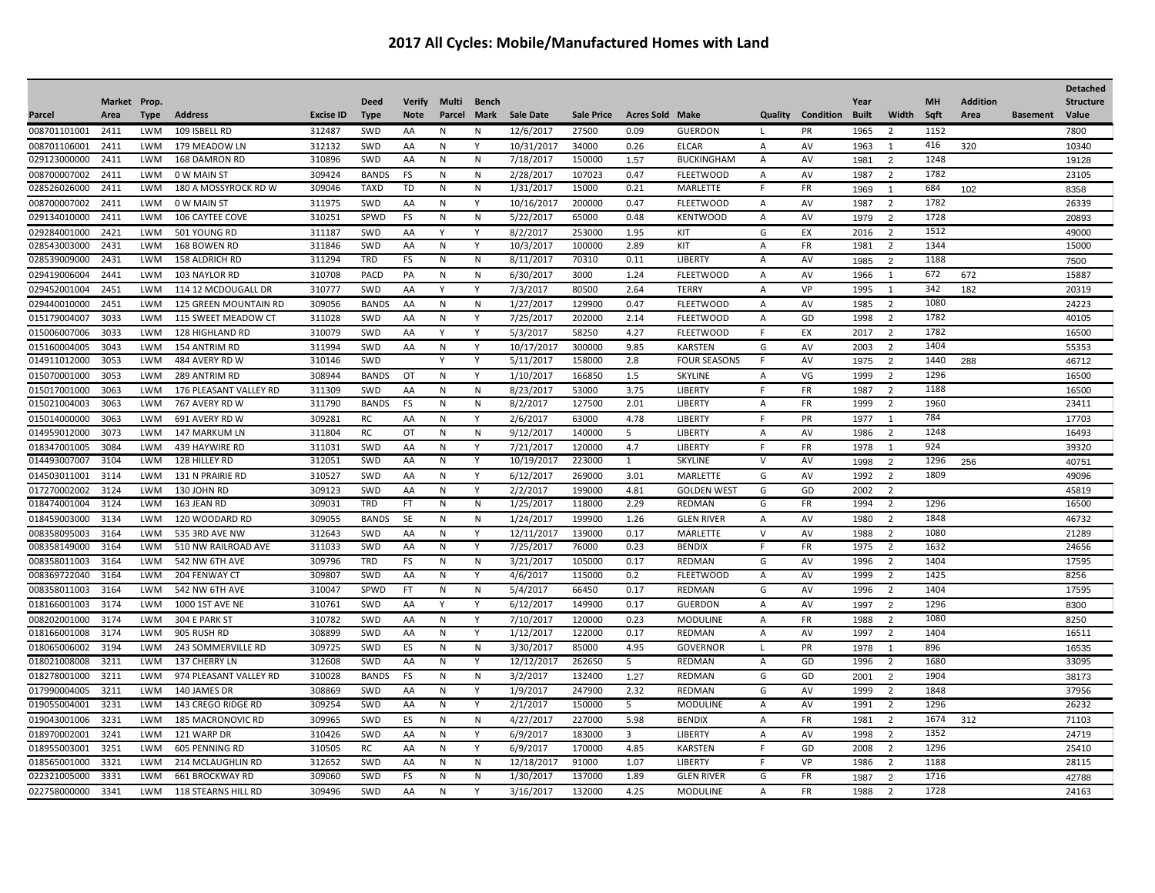|              |              |            |                              |                  |              |               |              |              |                  |                   |                        |                     |                |           |              |                                  |           |                 |                 | <b>Detached</b>  |
|--------------|--------------|------------|------------------------------|------------------|--------------|---------------|--------------|--------------|------------------|-------------------|------------------------|---------------------|----------------|-----------|--------------|----------------------------------|-----------|-----------------|-----------------|------------------|
|              | Market Prop. |            |                              |                  | <b>Deed</b>  | <b>Verify</b> | Multi        | Bench        |                  |                   |                        |                     |                |           | Year         |                                  | <b>MH</b> | <b>Addition</b> |                 | <b>Structure</b> |
| Parcel       | Area         | Type       | <b>Address</b>               | <b>Excise ID</b> | <b>Type</b>  | <b>Note</b>   | Parcel       | Mark         | <b>Sale Date</b> | <b>Sale Price</b> | <b>Acres Sold Make</b> |                     | Quality        | Condition | <b>Built</b> | Width                            | Sqft      | Area            | <b>Basement</b> | Value            |
| 008701101001 | 2411         | <b>LWM</b> | 109 ISBELL RD                | 312487           | SWD          | AA            | N            | N            | 12/6/2017        | 27500             | 0.09                   | <b>GUERDON</b>      |                | PR        | 1965         | 2                                | 1152      |                 |                 | 7800             |
| 008701106001 | 2411         | LWM        | 179 MEADOW LN                | 312132           | SWD          | AA            | N            | Υ            | 10/31/2017       | 34000             | 0.26                   | <b>ELCAR</b>        | Α              | AV        | 1963         | 1                                | 416       | 320             |                 | 10340            |
| 029123000000 | 2411         | <b>LWM</b> | <b>168 DAMRON RD</b>         | 310896           | SWD          | AA            | N            | N            | 7/18/2017        | 150000            | 1.57                   | <b>BUCKINGHAM</b>   | Α              | AV        | 1981         | 2                                | 1248      |                 |                 | 19128            |
| 008700007002 | 2411         | LWM        | 0 W MAIN ST                  | 309424           | <b>BANDS</b> | FS            | N            | N            | 2/28/2017        | 107023            | 0.47                   | <b>FLEETWOOD</b>    | A              | AV        | 1987         | $\overline{2}$                   | 1782      |                 |                 | 23105            |
| 028526026000 | 2411         | <b>LWM</b> | 180 A MOSSYROCK RD W         | 309046           | <b>TAXD</b>  | <b>TD</b>     | N            | N            | 1/31/2017        | 15000             | 0.21                   | <b>MARLETTE</b>     | F              | <b>FR</b> | 1969         | $\overline{1}$                   | 684       | 102             |                 | 8358             |
| 008700007002 | 2411         | <b>LWM</b> | 0 W MAIN ST                  | 311975           | SWD          | AA            | N            | Y            | 10/16/2017       | 200000            | 0.47                   | <b>FLEETWOOD</b>    | Α              | AV        | 1987         | $\overline{2}$                   | 1782      |                 |                 | 26339            |
| 029134010000 | 2411         | <b>LWM</b> | 106 CAYTEE COVE              | 310251           | SPWD         | FS            | N            | N            | 5/22/2017        | 65000             | 0.48                   | <b>KENTWOOD</b>     | Α              | AV        | 1979         | $\overline{2}$                   | 1728      |                 |                 | 20893            |
| 029284001000 | 2421         | <b>LWM</b> | 501 YOUNG RD                 | 311187           | SWD          | AA            | v            | v            | 8/2/2017         | 253000            | 1.95                   | KIT                 | G              | EX        | 2016         | $\overline{2}$                   | 1512      |                 |                 | 49000            |
| 028543003000 | 2431         | <b>LWM</b> | 168 BOWEN RD                 | 311846           | SWD          | AA            | N            | Υ            | 10/3/2017        | 100000            | 2.89                   | KIT                 | Α              | FR        | 1981         | $\overline{2}$                   | 1344      |                 |                 | 15000            |
| 028539009000 | 2431         | <b>LWM</b> | <b>158 ALDRICH RD</b>        | 311294           | <b>TRD</b>   | FS            | N            | N            | 8/11/2017        | 70310             | 0.11                   | LIBERTY             | Α              | AV        | 1985         | $\overline{2}$                   | 1188      |                 |                 | 7500             |
| 029419006004 | 2441         | <b>LWM</b> | 103 NAYLOR RD                | 310708           | PACD         | PA            | N            | N            | 6/30/2017        | 3000              | 1.24                   | <b>FLEETWOOD</b>    | Α              | AV        | 1966         | $\overline{1}$                   | 672       | 672             |                 | 15887            |
| 029452001004 | 2451         | <b>LWM</b> | 114 12 MCDOUGALL DR          | 310777           | SWD          | AA            | Y            | Y            | 7/3/2017         | 80500             | 2.64                   | <b>TERRY</b>        | Α              | VP        | 1995         | $\overline{1}$                   | 342       | 182             |                 | 20319            |
| 029440010000 | 2451         | <b>LWM</b> | <b>125 GREEN MOUNTAIN RD</b> | 309056           | <b>BANDS</b> | AA            | N            | N            | 1/27/2017        | 129900            | 0.47                   | <b>FLEETWOOD</b>    | $\overline{A}$ | AV        | 1985         | $\overline{2}$                   | 1080      |                 |                 | 24223            |
| 015179004007 | 3033         | <b>LWM</b> | 115 SWEET MEADOW CT          | 311028           | SWD          | AA            | N            | Y            | 7/25/2017        | 202000            | 2.14                   | <b>FLEETWOOD</b>    | $\overline{A}$ | GD        | 1998         | $\overline{2}$                   | 1782      |                 |                 | 40105            |
| 015006007006 | 3033         | <b>LWM</b> | 128 HIGHLAND RD              | 310079           | SWD          | AA            | Y            | Y            | 5/3/2017         | 58250             | 4.27                   | <b>FLEETWOOD</b>    | E              | EX        | 2017         | $\overline{2}$                   | 1782      |                 |                 | 16500            |
| 015160004005 | 3043         | <b>LWM</b> | 154 ANTRIM RD                | 311994           | SWD          | AA            | N            | Y            | 10/17/2017       | 300000            | 9.85                   | <b>KARSTEN</b>      | G              | AV        | 2003         | $\overline{2}$                   | 1404      |                 |                 | 55353            |
| 014911012000 | 3053         | <b>LWM</b> | 484 AVERY RD W               | 310146           | SWD          |               | $\mathsf{v}$ |              | 5/11/201         | 158000            | 2.8                    | <b>FOUR SEASONS</b> | E              | AV        | 1975         | $\overline{2}$                   | 1440      | 288             |                 | 46712            |
| 015070001000 | 3053         | <b>LWM</b> | 289 ANTRIM RD                | 308944           | <b>BANDS</b> | OT            | N            | Y            | 1/10/2017        | 166850            | 1.5                    | <b>SKYLINE</b>      | Α              | VG        | 1999         | $\overline{2}$                   | 1296      |                 |                 | 16500            |
| 015017001000 | 3063         | <b>LWM</b> | 176 PLEASANT VALLEY RD       | 311309           | SWD          | AA            | N            | N            | 8/23/2017        | 53000             | 3.75                   | LIBERTY             | E              | <b>FR</b> | 1987         | $\overline{2}$                   | 1188      |                 |                 | 16500            |
| 015021004003 | 3063         | <b>LWM</b> | 767 AVERY RD W               | 311790           | <b>BANDS</b> | FS            | N            | $\mathsf{N}$ | 8/2/2017         | 127500            | 2.01                   | LIBERTY             | Α              | FR        | 1999         | $\overline{2}$                   | 1960      |                 |                 | 23411            |
| 015014000000 | 3063         | <b>LWM</b> | 691 AVERY RD W               | 309281           | RC           | AA            | N            | Υ            | 2/6/2017         | 63000             | 4.78                   | LIBERTY             | F              | PR        | 1977         | 1                                | 784       |                 |                 | 17703            |
| 014959012000 | 3073         | <b>LWM</b> | 147 MARKUM LN                | 311804           | <b>RC</b>    | OT            | N            | $\mathsf{N}$ | 9/12/2017        | 140000            | 5                      | LIBERTY             | Α              | AV        | 1986         | $\overline{2}$                   | 1248      |                 |                 | 16493            |
| 018347001005 | 3084         | <b>LWM</b> | 439 HAYWIRE RD               | 311031           | SWD          | AA            | N            | Υ            | 7/21/2017        | 120000            | 4.7                    | LIBERTY             | E              | FR        | 1978         | 1                                | 924       |                 |                 | 39320            |
| 014493007007 | 3104         | <b>LWM</b> | 128 HILLEY RD                | 312051           | SWD          | AA            | N            | Y            | 10/19/2017       | 223000            | 1                      | <b>SKYLINE</b>      | $\vee$         | AV        | 1998         | 2                                | 1296      | 256             |                 | 40751            |
| 014503011001 | 3114         | <b>LWM</b> | 131 N PRAIRIE RD             | 310527           | SWD          | AA            | ${\sf N}$    | Υ            | 6/12/2017        | 269000            | 3.01                   | MARLETTE            | G              | AV        | 1992         | $\overline{2}$                   | 1809      |                 |                 | 49096            |
| 017270002002 | 3124         | <b>LWM</b> | 130 JOHN RD                  | 309123           | SWD          | AA            | N            | Y            | 2/2/2017         | 199000            | 4.81                   | <b>GOLDEN WEST</b>  | G              | GD        | 2002         | $\overline{2}$                   |           |                 |                 | 45819            |
| 018474001004 | 3124         | <b>LWM</b> | 163 JEAN RD                  | 309031           | <b>TRD</b>   | <b>FT</b>     | N            | N            | 1/25/2017        | 118000            | 2.29                   | <b>REDMAN</b>       | G              | <b>FR</b> | 1994         | $\overline{2}$                   | 1296      |                 |                 | 16500            |
| 018459003000 | 3134         | <b>LWM</b> | 120 WOODARD RD               | 309055           | <b>BANDS</b> | SE            | N            | $\mathsf{N}$ | 1/24/2017        | 199900            | 1.26                   | <b>GLEN RIVER</b>   | Α              | AV        | 1980         | $\overline{2}$                   | 1848      |                 |                 | 46732            |
| 008358095003 | 3164         | <b>LWM</b> | 535 3RD AVE NW               | 312643           | SWD          | AA            | N            | Y            | 12/11/2017       | 139000            | 0.17                   | <b>MARLETTE</b>     | $\vee$         | AV        | 1988         | $\overline{2}$                   | 1080      |                 |                 | 21289            |
| 008358149000 | 3164         | LWM        | 510 NW RAILROAD AVE          | 311033           | SWD          | AA            | N            | Υ            | 7/25/2017        | 76000             | 0.23                   | <b>BENDIX</b>       | F              | FR        | 1975         | $\overline{2}$                   | 1632      |                 |                 | 24656            |
| 008358011003 | 3164         | <b>LWM</b> | 542 NW 6TH AVE               | 309796           | TRD          | FS            | N            | N            | 3/21/2017        | 105000            | 0.17                   | REDMAN              | G              | AV        | 1996         | -2                               | 1404      |                 |                 | 17595            |
| 008369722040 | 3164         | LWM        | 204 FENWAY CT                | 309807           | SWD          | AA            | N            | Υ            | 4/6/2017         | 115000            | 0.2                    | <b>FLEETWOOD</b>    | Α              | AV        | 1999         | $\overline{2}$                   | 1425      |                 |                 | 8256             |
| 008358011003 | 3164         | LWM        | 542 NW 6TH AVE               | 310047           | SPWD         | FT.           | N            | N            | 5/4/2017         | 66450             | 0.17                   | REDMAN              | G              | AV        | 1996         | $\overline{2}$                   | 1404      |                 |                 | 17595            |
| 018166001003 | 3174         | <b>LWM</b> | 1000 1ST AVE NE              | 310761           | SWD          | AA            | Y            | Y            | 6/12/2017        | 149900            | 0.17                   | <b>GUERDON</b>      | Α              | AV        | 1997         | 2                                | 1296      |                 |                 | 8300             |
| 008202001000 | 3174         | LWM        | 304 E PARK ST                | 310782           | SWD          | AA            | N            | Υ            | 7/10/2017        | 120000            | 0.23                   | <b>MODULINE</b>     | $\overline{A}$ | <b>FR</b> | 1988         | $\overline{2}$                   | 1080      |                 |                 | 8250             |
| 018166001008 | 3174         | <b>LWM</b> | 905 RUSH RD                  | 308899           | SWD          | AA            | N            | Υ            | 1/12/2017        | 122000            | 0.17                   | <b>REDMAN</b>       | Α              | AV        | 1997         | $\overline{2}$                   | 1404      |                 |                 | 16511            |
| 018065006002 | 3194         | LWM        | 243 SOMMERVILLE RD           | 309725           | SWD          | ES            | N            | N            | 3/30/2017        | 85000             | 4.95                   | <b>GOVERNOR</b>     | L.             | PR        |              | $\overline{1}$                   | 896       |                 |                 |                  |
| 018021008008 | 3211         | <b>LWM</b> | 137 CHERRY LN                | 312608           | SWD          | AA            | N            | Y            | 12/12/2017       | 262650            | 5                      | <b>REDMAN</b>       | Α              | GD        | 1978<br>1996 | $\overline{2}$                   | 1680      |                 |                 | 16535<br>33095   |
| 018278001000 | 3211         | <b>LWM</b> | 974 PLEASANT VALLEY RD       | 310028           | <b>BANDS</b> | FS            | N            | ${\sf N}$    | 3/2/2017         | 132400            |                        | REDMAN              | G              | GD        |              |                                  | 1904      |                 |                 |                  |
| 017990004005 | 3211         | <b>LWM</b> | 140 JAMES DR                 | 308869           | SWD          | AA            |              | Y            | 1/9/2017         | 247900            | 1.27<br>2.32           | <b>REDMAN</b>       | G              | AV        | 2001<br>1999 | $\overline{2}$<br>$\overline{2}$ | 1848      |                 |                 | 38173<br>37956   |
| 019055004001 | 3231         | <b>LWM</b> |                              | 309254           | SWD          | AA            | N            | Υ            |                  | 150000            |                        | <b>MODULINE</b>     |                |           | 1991         |                                  | 1296      |                 |                 | 26232            |
|              |              |            | 143 CREGO RIDGE RD           |                  |              |               | N            |              | 2/1/2017         |                   | 5                      |                     | Α              | AV        |              | $\overline{2}$                   |           |                 |                 |                  |
| 019043001006 | 3231         | LWM        | <b>185 MACRONOVIC RD</b>     | 309965           | SWD          | ES            | N            | N            | 4/27/2017        | 227000            | 5.98                   | <b>BENDIX</b>       | Α              | FR        | 1981         | $\overline{2}$                   | 1674      | 312             |                 | 71103            |
| 018970002001 | 3241         | <b>LWM</b> | 121 WARP DR                  | 310426           | SWD          | AA            | N            | Y            | 6/9/2017         | 183000            | 3                      | LIBERTY             | Α              | AV        | 1998         | $\overline{2}$                   | 1352      |                 |                 | 24719            |
| 018955003001 | 3251         | LWM        | 605 PENNING RD               | 310505           | RC           | AA            | N            | Υ            | 6/9/2017         | 170000            | 4.85                   | <b>KARSTEN</b>      | F              | GD        | 2008         | $\overline{2}$                   | 1296      |                 |                 | 25410            |
| 018565001000 | 3321         | <b>LWM</b> | 214 MCLAUGHLIN RD            | 312652           | SWD          | AA            | N            | ${\sf N}$    | 12/18/2017       | 91000             | 1.07                   | <b>LIBERTY</b>      | E              | VP        | 1986         | $\overline{2}$                   | 1188      |                 |                 | 28115            |
| 022321005000 | 3331         | <b>LWM</b> | <b>661 BROCKWAY RD</b>       | 309060           | SWD          | FS            | N            | N            | 1/30/2017        | 137000            | 1.89                   | <b>GLEN RIVER</b>   | G              | FR        | 1987         | $\overline{2}$                   | 1716      |                 |                 | 42788            |
| 022758000000 | 3341         | <b>LWM</b> | <b>118 STEARNS HILL RD</b>   | 309496           | SWD          | AA            | N            | Y            | 3/16/2017        | 132000            | 4.25                   | <b>MODULINE</b>     | $\overline{A}$ | <b>FR</b> | 1988         | $\overline{2}$                   | 1728      |                 |                 | 24163            |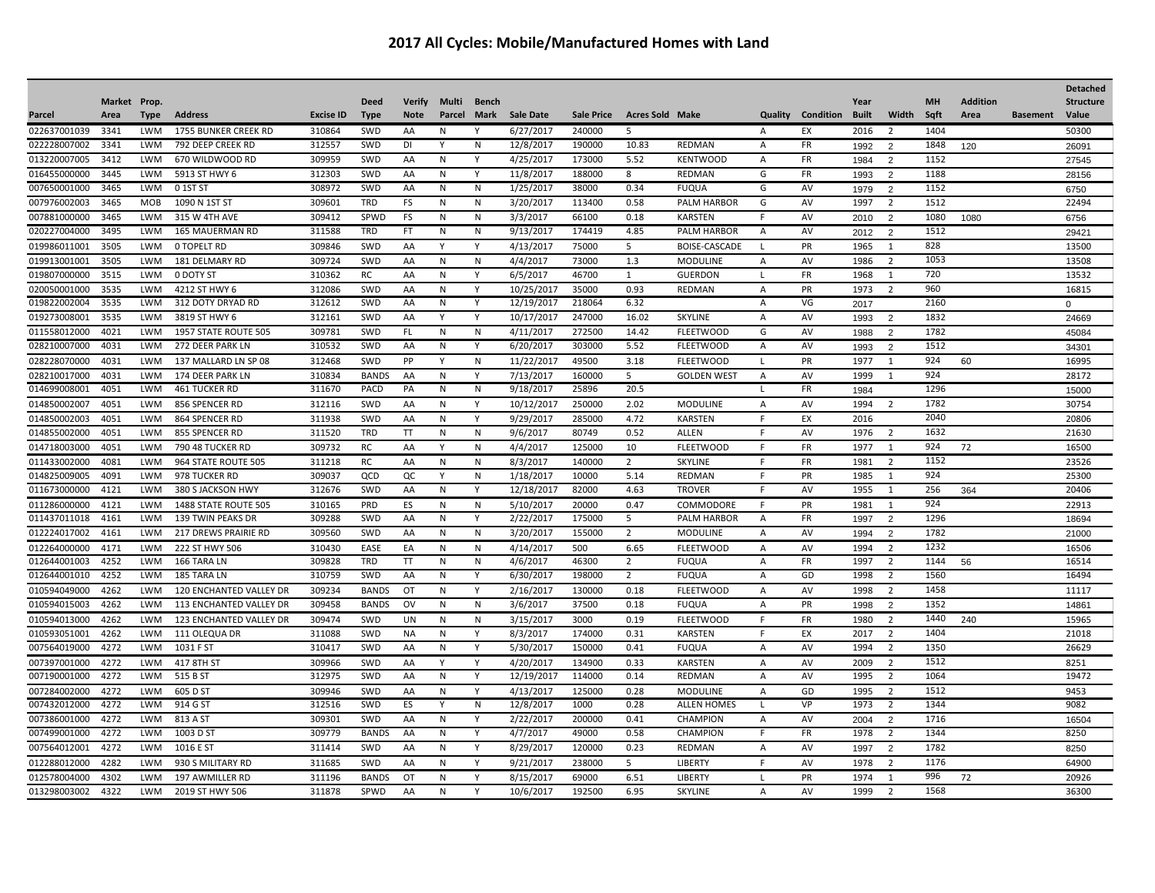|              |              |             |                                |                  |              |               |              |              |                  |                   |                        |                      |                |                          |              |                |           |                 |                 | <b>Detached</b>  |
|--------------|--------------|-------------|--------------------------------|------------------|--------------|---------------|--------------|--------------|------------------|-------------------|------------------------|----------------------|----------------|--------------------------|--------------|----------------|-----------|-----------------|-----------------|------------------|
|              | Market Prop. |             |                                |                  | <b>Deed</b>  | <b>Verify</b> | Multi        | <b>Bench</b> |                  |                   |                        |                      |                |                          | Year         |                | <b>MH</b> | <b>Addition</b> |                 | <b>Structure</b> |
| Parcel       | Area         | <b>Type</b> | <b>Address</b>                 | <b>Excise ID</b> | <b>Type</b>  | <b>Note</b>   | Parcel       | Mark         | <b>Sale Date</b> | <b>Sale Price</b> | <b>Acres Sold Make</b> |                      |                | <b>Quality Condition</b> | <b>Built</b> | Width          | Sqft      | Area            | <b>Basement</b> | Value            |
| 022637001039 | 3341         | <b>LWM</b>  | <b>1755 BUNKER CREEK RD</b>    | 310864           | SWD          | AA            | N            | Υ            | 6/27/2017        | 240000            | .5                     |                      | $\overline{A}$ | EX                       | 2016         | $\overline{2}$ | 1404      |                 |                 | 50300            |
| 022228007002 | 3341         | <b>LWM</b>  | 792 DEEP CREEK RD              | 312557           | SWD          | DI            |              | N            | 12/8/2017        | 190000            | 10.83                  | <b>REDMAN</b>        | A              | FR                       | 1992         | $\overline{2}$ | 1848      | 120             |                 | 26091            |
| 013220007005 | 3412         | <b>LWM</b>  | 670 WILDWOOD RD                | 309959           | SWD          | AA            | N            | Υ            | 4/25/2017        | 173000            | 5.52                   | <b>KENTWOOD</b>      | Α              | <b>FR</b>                | 1984         | 2              | 1152      |                 |                 | 27545            |
| 016455000000 | 3445         | <b>LWM</b>  | 5913 ST HWY 6                  | 312303           | SWD          | AA            | N            | Y            | 11/8/2017        | 188000            | 8                      | REDMAN               | G              | FR                       | 1993         | $\overline{2}$ | 1188      |                 |                 | 28156            |
| 007650001000 | 3465         | <b>LWM</b>  | 0 1ST ST                       | 308972           | SWD          | AA            | N            | Ν            | 1/25/2017        | 38000             | 0.34                   | <b>FUQUA</b>         | G              | AV                       | 1979         | $\overline{2}$ | 1152      |                 |                 | 6750             |
| 007976002003 | 3465         | MOB         | 1090 N 1ST ST                  | 309601           | <b>TRD</b>   | FS            | N            | N            | 3/20/2017        | 113400            | 0.58                   | PALM HARBOR          | G              | AV                       | 1997         | $\overline{2}$ | 1512      |                 |                 | 22494            |
| 007881000000 | 3465         | <b>LWM</b>  | 315 W 4TH AVE                  | 309412           | SPWD         | <b>FS</b>     | N            | N            | 3/3/2017         | 66100             | 0.18                   | <b>KARSTEN</b>       | F              | AV                       | 2010         | $\overline{2}$ | 1080      | 1080            |                 | 6756             |
| 020227004000 | 3495         | <b>LWM</b>  | <b>165 MAUERMAN RD</b>         | 311588           | <b>TRD</b>   | <b>FT</b>     | N            | N            | 9/13/2017        | 174419            | 4.85                   | <b>PALM HARBOR</b>   | Α              | AV                       | 2012         | $\overline{2}$ | 1512      |                 |                 | 29421            |
| 019986011001 | 3505         | <b>LWM</b>  | 0 TOPELT RD                    | 309846           | SWD          | AA            | Y            | Y            | 4/13/2017        | 75000             | 5                      | <b>BOISE-CASCADE</b> | $\mathbf{I}$   | PR                       | 1965         | 1              | 828       |                 |                 | 13500            |
| 019913001001 | 3505         | LWM         | 181 DELMARY RD                 | 309724           | SWD          | AA            | N            | N            | 4/4/2017         | 73000             | 1.3                    | <b>MODULINE</b>      | A              | AV                       | 1986         | $\overline{2}$ | 1053      |                 |                 | 13508            |
| 019807000000 | 3515         | <b>LWM</b>  | 0 DOTY ST                      | 310362           | <b>RC</b>    | AA            | N            | Y            | 6/5/2017         | 46700             | 1                      | <b>GUERDON</b>       | $\mathbf{I}$   | <b>FR</b>                | 1968         | 1              | 720       |                 |                 | 13532            |
| 020050001000 | 3535         | <b>LWM</b>  | 4212 ST HWY 6                  | 312086           | SWD          | AA            | N            | Y            | 10/25/2017       | 35000             | 0.93                   | <b>REDMAN</b>        | $\overline{A}$ | PR                       | 1973         | $\overline{2}$ | 960       |                 |                 | 16815            |
| 019822002004 | 3535         | <b>LWM</b>  | 312 DOTY DRYAD RD              | 312612           | SWD          | AA            | N            | Y            | 12/19/2017       | 218064            | 6.32                   |                      | $\overline{A}$ | VG                       | 2017         |                | 2160      |                 |                 | $\mathbf 0$      |
| 019273008001 | 3535         | <b>LWM</b>  | 3819 ST HWY 6                  | 312161           | SWD          | AA            | Y            | Y            | 10/17/2017       | 247000            | 16.02                  | SKYLINE              | A              | AV                       | 1993         | $\overline{2}$ | 1832      |                 |                 | 24669            |
| 011558012000 | 4021         | <b>LWM</b>  | 1957 STATE ROUTE 505           | 309781           | SWD          | FL.           | N            | ${\sf N}$    | 4/11/2017        | 272500            | 14.42                  | <b>FLEETWOOD</b>     | G              | AV                       | 1988         | $\overline{2}$ | 1782      |                 |                 | 45084            |
| 028210007000 | 4031         | <b>LWM</b>  | 272 DEER PARK LN               | 310532           | SWD          | AA            | N            | Υ            | 6/20/2017        | 303000            | 5.52                   | <b>FLEETWOOD</b>     | A              | AV                       | 1993         | 2              | 1512      |                 |                 | 34301            |
| 028228070000 | 4031         | <b>LWM</b>  | 137 MALLARD LN SP 08           | 312468           | SWD          | PP            | Y            | N            | 11/22/2017       | 49500             | 3.18                   | <b>FLEETWOOD</b>     | L.             | PR                       | 1977         | 1              | 924       | 60              |                 | 16995            |
| 028210017000 | 4031         | <b>LWM</b>  | 174 DEER PARK LN               | 310834           | <b>BANDS</b> | AA            | N            | Y            | 7/13/2017        | 160000            | 5                      | <b>GOLDEN WEST</b>   | $\overline{A}$ | AV                       | 1999         | 1              | 924       |                 |                 | 28172            |
| 014699008001 | 4051         | <b>LWM</b>  | 461 TUCKER RD                  | 311670           | PACD         | PA            | N            | N            | 9/18/2017        | 25896             | 20.5                   |                      | $\mathbf{I}$   | FR                       | 1984         |                | 1296      |                 |                 | 15000            |
| 014850002007 | 4051         | <b>LWM</b>  | 856 SPENCER RD                 | 312116           | SWD          | AA            | N            | Y            | 10/12/2017       | 250000            | 2.02                   | <b>MODULINE</b>      | A              | AV                       | 1994         | $\overline{2}$ | 1782      |                 |                 | 30754            |
| 014850002003 | 4051         | <b>LWM</b>  | 864 SPENCER RD                 | 311938           | SWD          | AA            | N            | Υ            | 9/29/2017        | 285000            | 4.72                   | <b>KARSTEN</b>       | F              | EX                       | 2016         |                | 2040      |                 |                 | 20806            |
| 014855002000 | 4051         | <b>LWM</b>  | 855 SPENCER RD                 | 311520           | <b>TRD</b>   | <b>TT</b>     | N            | N            | 9/6/2017         | 80749             | 0.52                   | <b>ALLEN</b>         | E              | AV                       | 1976         | $\overline{2}$ | 1632      |                 |                 | 21630            |
| 014718003000 | 4051         | <b>LWM</b>  | 790 48 TUCKER RD               | 309732           | RC           | AA            | $\mathsf{v}$ | N            | 4/4/2017         | 125000            | 10                     | <b>FLEETWOOD</b>     | F              | FR                       | 1977         | 1              | 924       | 72              |                 | 16500            |
| 011433002000 | 4081         | <b>LWM</b>  | 964 STATE ROUTE 505            | 311218           | <b>RC</b>    | AA            | N            | N            | 8/3/2017         | 140000            | 2                      | <b>SKYLINE</b>       | E              | FR                       | 1981         | $\overline{2}$ | 1152      |                 |                 | 23526            |
| 014825009005 | 4091         | <b>LWM</b>  | 978 TUCKER RD                  | 309037           | QCD          | QC            | Y            | N            | 1/18/2017        | 10000             | 5.14                   | <b>REDMAN</b>        | E              | PR                       | 1985         | $\overline{1}$ | 924       |                 |                 | 25300            |
| 011673000000 | 4121         | LWM         | 380 S JACKSON HWY              | 312676           | SWD          | AA            | N            | Y            | 12/18/2017       | 82000             | 4.63                   | <b>TROVER</b>        | F              | AV                       | 1955         | 1              | 256       | 364             |                 | 20406            |
| 011286000000 | 4121         | <b>LWM</b>  | 1488 STATE ROUTE 505           | 310165           | PRD          | ES            | N            | N            | 5/10/2017        | 20000             | 0.47                   | COMMODORE            | E              | PR                       | 1981         | 1              | 924       |                 |                 | 22913            |
| 011437011018 | 4161         | LWM         | 139 TWIN PEAKS DR              | 309288           | SWD          | AA            | N            | Y            | 2/22/2017        | 175000            | 5                      | PALM HARBOR          | A              | FR                       | 1997         | 2              | 1296      |                 |                 | 18694            |
| 012224017002 | 4161         | LWM         | 217 DREWS PRAIRIE RD           | 309560           | SWD          | AA            | N            | N            | 3/20/2017        | 155000            | $\overline{2}$         | <b>MODULINE</b>      | A              | AV                       | 1994         | $\overline{2}$ | 1782      |                 |                 | 21000            |
| 012264000000 | 4171         | LWM         | 222 ST HWY 506                 | 310430           | EASE         | EA            | N            | N            | 4/14/2017        | 500               | 6.65                   | <b>FLEETWOOD</b>     | $\overline{A}$ | AV                       | 1994         | $\overline{2}$ | 1232      |                 |                 | 16506            |
| 012644001003 | 4252         | LWM         | 166 TARA LN                    | 309828           | TRD          | TT            | N            | N            | 4/6/2017         | 46300             | $\overline{2}$         | <b>FUQUA</b>         | A              | FR                       | 1997         | $\overline{2}$ | 1144      | 56              |                 | 16514            |
| 012644001010 | 4252         | <b>LWM</b>  | 185 TARA LN                    | 310759           | SWD          | AA            | N            | Y            | 6/30/2017        | 198000            | $\overline{2}$         | <b>FUQUA</b>         | A              | GD                       | 1998         | $\overline{2}$ | 1560      |                 |                 | 16494            |
| 010594049000 | 4262         | LWM         | 120 ENCHANTED VALLEY DR        | 309234           | <b>BANDS</b> | OT            | N            | Y            | 2/16/2017        | 130000            | 0.18                   | <b>FLEETWOOD</b>     | A              | AV                       | 1998         | $\overline{2}$ | 1458      |                 |                 | 11117            |
| 010594015003 | 4262         | <b>LWM</b>  | <b>113 ENCHANTED VALLEY DR</b> | 309458           | <b>BANDS</b> | <b>OV</b>     | N            | N            | 3/6/2017         | 37500             | 0.18                   | <b>FUQUA</b>         | Α              | PR                       | 1998         | $\overline{2}$ | 1352      |                 |                 | 14861            |
| 010594013000 | 4262         | LWM         | 123 ENCHANTED VALLEY DR        | 309474           | SWD          | UN            | N            | N            | 3/15/2017        | 3000              | 0.19                   | <b>FLEETWOOD</b>     | F              | FR                       | 1980         | $\overline{2}$ | 1440      | 240             |                 | 15965            |
| 010593051001 | 4262         | <b>LWM</b>  | 111 OLEQUA DR                  | 311088           | SWD          | <b>NA</b>     | N            | Y            | 8/3/2017         | 174000            | 0.31                   | <b>KARSTEN</b>       | F              | EX                       | 2017         | $\overline{2}$ | 1404      |                 |                 | 21018            |
| 007564019000 | 4272         | <b>LWM</b>  | 1031 F ST                      | 310417           | SWD          | AA            | N            | Υ            | 5/30/2017        | 150000            | 0.41                   | <b>FUQUA</b>         | A              | AV                       | 1994         | 2              | 1350      |                 |                 | 26629            |
| 007397001000 | 4272         | LWM         | 417 8TH ST                     | 309966           | SWD          | AA            | Y            | Υ            | 4/20/2017        | 134900            | 0.33                   | <b>KARSTEN</b>       | A              | AV                       | 2009         | $\overline{2}$ | 1512      |                 |                 | 8251             |
| 007190001000 | 4272         | <b>LWM</b>  | 515 B ST                       | 312975           | SWD          | AA            | N            | Y            | 12/19/2017       | 114000            | 0.14                   | REDMAN               | A              | AV                       | 1995         | $\overline{2}$ | 1064      |                 |                 | 19472            |
| 007284002000 | 4272         | LWM         | 605 D ST                       | 309946           | SWD          | AA            | N            | Y            | 4/13/2017        | 125000            | 0.28                   | <b>MODULINE</b>      | A              | GD                       | 1995         | $\overline{2}$ | 1512      |                 |                 | 9453             |
| 007432012000 | 4272         | <b>LWM</b>  | 914 G ST                       | 312516           | SWD          | ES            |              | N            | 12/8/2017        | 1000              | 0.28                   | <b>ALLEN HOMES</b>   | $\mathbf{I}$   | VP                       | 1973         | $\overline{2}$ | 1344      |                 |                 | 9082             |
| 007386001000 | 4272         | <b>LWM</b>  | 813 A ST                       | 309301           | SWD          | AA            | N            | Υ            | 2/22/2017        | 200000            | 0.41                   | <b>CHAMPION</b>      | A              | AV                       | 2004         | 2              | 1716      |                 |                 | 16504            |
| 007499001000 | 4272         | <b>LWM</b>  | 1003 D ST                      | 309779           | <b>BANDS</b> | AA            | N            | Y            | 4/7/2017         | 49000             | 0.58                   | CHAMPION             | E              | <b>FR</b>                | 1978         | $\overline{2}$ | 1344      |                 |                 | 8250             |
| 007564012001 | 4272         | LWM         | 1016 E ST                      | 311414           | SWD          | AA            | N            | Y            | 8/29/2017        | 120000            | 0.23                   | REDMAN               | A              | AV                       | 1997         | $\overline{2}$ | 1782      |                 |                 | 8250             |
| 012288012000 | 4282         | <b>LWM</b>  | 930 S MILITARY RD              | 311685           | SWD          | AA            | N            | Y            | 9/21/2017        | 238000            | 5                      | <b>LIBERTY</b>       | E              | AV                       | 1978         | $\overline{2}$ | 1176      |                 |                 | 64900            |
| 012578004000 | 4302         | <b>LWM</b>  | 197 AWMILLER RD                | 311196           | <b>BANDS</b> | OT            |              | Y            | 8/15/2017        | 69000             | 6.51                   | <b>LIBERTY</b>       | $\mathbf{I}$   | PR                       | 1974         |                | 996       | 72              |                 | 20926            |
|              |              |             |                                |                  |              |               | N            | Y            |                  |                   |                        |                      |                |                          |              | 1              | 1568      |                 |                 |                  |
| 013298003002 | 4322         | <b>LWM</b>  | 2019 ST HWY 506                | 311878           | SPWD         | AA            | N            |              | 10/6/2017        | 192500            | 6.95                   | <b>SKYLINE</b>       | $\overline{A}$ | AV                       | 1999         | $\overline{2}$ |           |                 |                 | 36300            |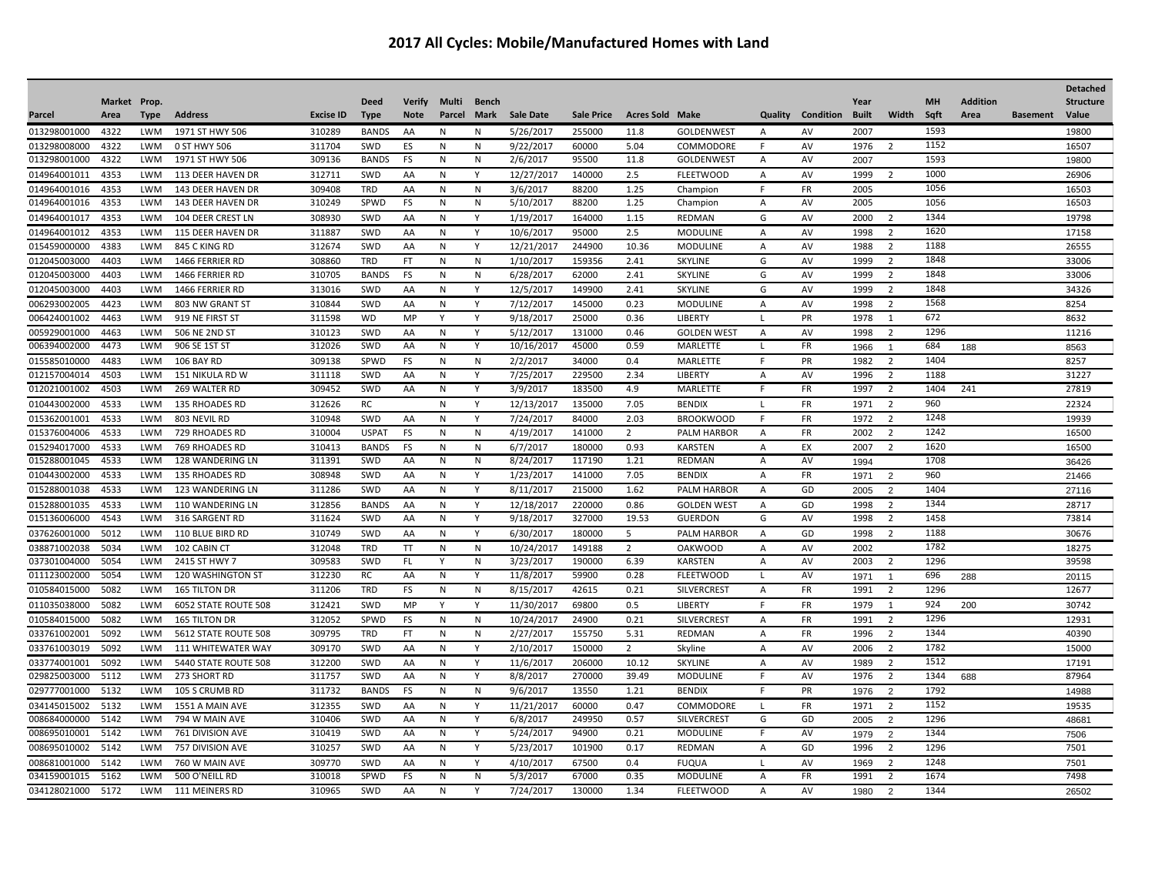## **2017 All Cycles: Mobile/Manufactured Homes with Land**

|              |              |            |                         |                  |              |               |              |              |                  |                   |                        |                    |                |                          |              |                |      |                 |                 | <b>Detached</b>  |
|--------------|--------------|------------|-------------------------|------------------|--------------|---------------|--------------|--------------|------------------|-------------------|------------------------|--------------------|----------------|--------------------------|--------------|----------------|------|-----------------|-----------------|------------------|
|              | Market Prop. |            |                         |                  | <b>Deed</b>  | <b>Verify</b> | Multi        | <b>Bench</b> |                  |                   |                        |                    |                |                          | Year         |                | MH   | <b>Addition</b> |                 | <b>Structure</b> |
| Parcel       | Area         | Type       | <b>Address</b>          | <b>Excise ID</b> | <b>Type</b>  | <b>Note</b>   | Parcel       | Mark         | <b>Sale Date</b> | <b>Sale Price</b> | <b>Acres Sold Make</b> |                    |                | <b>Quality Condition</b> | <b>Built</b> | Width          | Sqft | Area            | <b>Basement</b> | Value            |
| 013298001000 | 4322         | LWM        | 1971 ST HWY 506         | 310289           | <b>BANDS</b> | AA            | N            | N            | 5/26/2017        | 255000            | 11.8                   | <b>GOLDENWEST</b>  | A              | AV                       | 2007         |                | 1593 |                 |                 | 19800            |
| 013298008000 | 4322         | LWM        | 0 ST HWY 506            | 311704           | SWD          | ES            | N            | N            | 9/22/2017        | 60000             | 5.04                   | COMMODORE          | F              | AV                       | 1976         | -2             | 1152 |                 |                 | 16507            |
| 013298001000 | 4322         | LWM        | 1971 ST HWY 506         | 309136           | <b>BANDS</b> | FS            | N            | N            | 2/6/2017         | 95500             | 11.8                   | <b>GOLDENWEST</b>  | Α              | AV                       | 2007         |                | 1593 |                 |                 | 19800            |
| 014964001011 | 4353         | LWM        | 113 DEER HAVEN DR       | 312711           | SWD          | AA            | N            | Y            | 12/27/2017       | 140000            | 2.5                    | <b>FLEETWOOD</b>   | A              | AV                       | 1999         | 2              | 1000 |                 |                 | 26906            |
| 014964001016 | 4353         | <b>LWM</b> | 143 DEER HAVEN DR       | 309408           | TRD          | AA            | N            | N            | 3/6/2017         | 88200             | 1.25                   | Champion           | $\mathsf F$    | FR                       | 2005         |                | 1056 |                 |                 | 16503            |
| 014964001016 | 4353         | <b>LWM</b> | 143 DEER HAVEN DR       | 310249           | SPWD         | <b>FS</b>     | N            | N            | 5/10/2017        | 88200             | 1.25                   | Champion           | A              | AV                       | 2005         |                | 1056 |                 |                 | 16503            |
| 014964001017 | 4353         | <b>LWM</b> | 104 DEER CREST LN       | 308930           | SWD          | AA            | N            | Y            | 1/19/2017        | 164000            | 1.15                   | REDMAN             | G              | AV                       | 2000         | $\overline{2}$ | 1344 |                 |                 | 19798            |
| 014964001012 | 4353         | <b>LWM</b> | 115 DEER HAVEN DR       | 311887           | SWD          | AA            | N            | Y            | 10/6/2017        | 95000             | 2.5                    | <b>MODULINE</b>    | A              | AV                       | 1998         | $\overline{2}$ | 1620 |                 |                 | 17158            |
| 015459000000 | 4383         | <b>LWM</b> | 845 C KING RD           | 312674           | SWD          | AA            | N            | Y            | 12/21/2017       | 244900            | 10.36                  | <b>MODULINE</b>    | $\overline{A}$ | AV                       | 1988         | 2              | 1188 |                 |                 | 26555            |
| 012045003000 | 4403         | <b>LWM</b> | 1466 FERRIER RD         | 308860           | <b>TRD</b>   | <b>FT</b>     | N            | N            | 1/10/2017        | 159356            | 2.41                   | SKYLINE            | G              | AV                       | 1999         | 2              | 1848 |                 |                 | 33006            |
| 012045003000 | 4403         | <b>LWM</b> | 1466 FERRIER RD         | 310705           | <b>BANDS</b> | <b>FS</b>     | N            | N            | 6/28/2017        | 62000             | 2.41                   | <b>SKYLINE</b>     | G              | AV                       | 1999         | 2              | 1848 |                 |                 | 33006            |
| 012045003000 | 4403         | <b>LWM</b> | 1466 FERRIER RD         | 313016           | SWD          | AA            | N            | Y            | 12/5/2017        | 149900            | 2.41                   | SKYLINE            | G              | AV                       | 1999         | 2              | 1848 |                 |                 | 34326            |
| 006293002005 | 4423         | <b>LWM</b> | 803 NW GRANT ST         | 310844           | SWD          | AA            | N            | Y            | 7/12/2017        | 145000            | 0.23                   | <b>MODULINE</b>    | $\overline{A}$ | AV                       | 1998         | $\overline{2}$ | 1568 |                 |                 | 8254             |
| 006424001002 | 4463         | <b>LWM</b> | 919 NE FIRST ST         | 311598           | <b>WD</b>    | MP            | Y            | Y            | 9/18/2017        | 25000             | 0.36                   | LIBERTY            | <b>L</b>       | PR                       | 1978         | 1              | 672  |                 |                 | 8632             |
| 005929001000 | 4463         | <b>LWM</b> | <b>506 NE 2ND ST</b>    | 310123           | SWD          | AA            | N            | Y            | 5/12/2017        | 131000            | 0.46                   | <b>GOLDEN WEST</b> | $\overline{A}$ | AV                       | 1998         | $\overline{2}$ | 1296 |                 |                 | 11216            |
| 006394002000 | 4473         | <b>LWM</b> | 906 SE 1ST ST           | 312026           | SWD          | AA            | $\mathsf{N}$ | Y            | 10/16/2017       | 45000             | 0.59                   | MARLETTE           | <b>L</b>       | FR                       | 1966         | $\overline{1}$ | 684  | 188             |                 | 8563             |
| 015585010000 | 4483         | LWM        | <b>106 BAY RD</b>       | 309138           | SPWD         | <b>FS</b>     | N            | N            | 2/2/2017         | 34000             | 0.4                    | <b>MARLETTE</b>    | E              | PR                       | 1982         | $\overline{2}$ | 1404 |                 |                 | 8257             |
| 012157004014 | 4503         | LWM        | 151 NIKULA RD W         | 311118           | SWD          | AA            | N            | Y            | 7/25/2017        | 229500            | 2.34                   | LIBERTY            | A              | AV                       | 1996         | $\overline{2}$ | 1188 |                 |                 | 31227            |
| 012021001002 | 4503         | <b>LWM</b> | 269 WALTER RD           | 309452           | SWD          | AA            | N            | Υ            | 3/9/2017         | 183500            | 4.9                    | MARLETTE           | F              | <b>FR</b>                | 1997         | $\overline{2}$ | 1404 | 241             |                 | 27819            |
| 010443002000 | 4533         | <b>LWM</b> | 135 RHOADES RD          | 312626           | RC           |               | N            | Y            | 12/13/2017       | 135000            | 7.05                   | <b>BENDIX</b>      | $\mathbf{I}$   | FR                       | 1971         | $\overline{2}$ | 960  |                 |                 | 22324            |
| 015362001001 | 4533         | <b>LWM</b> | 803 NEVIL RD            | 310948           | SWD          | AA            | N            | Y            | 7/24/2017        | 84000             | 2.03                   | <b>BROOKWOOD</b>   | E              | FR                       | 1972         | $\overline{2}$ | 1248 |                 |                 | 19939            |
| 015376004006 | 4533         | <b>LWM</b> | 729 RHOADES RD          | 310004           | <b>USPAT</b> | FS            | ${\sf N}$    | ${\sf N}$    | 4/19/2017        | 141000            | $\overline{2}$         | PALM HARBOR        | A              | FR                       | 2002         | $\overline{2}$ | 1242 |                 |                 | 16500            |
| 015294017000 | 4533         | <b>LWM</b> | 769 RHOADES RD          | 310413           | <b>BANDS</b> | FS            | N            | N            | 6/7/2017         | 180000            | 0.93                   | <b>KARSTEN</b>     | A              | EX                       | 2007         | $\overline{2}$ | 1620 |                 |                 | 16500            |
| 015288001045 | 4533         | <b>LWM</b> | <b>128 WANDERING LN</b> | 311391           | SWD          | AA            | N            | N            | 8/24/2017        | 117190            | 1.21                   | <b>REDMAN</b>      | $\overline{A}$ | AV                       | 1994         |                | 1708 |                 |                 | 36426            |
| 010443002000 | 4533         | LWM        | <b>135 RHOADES RD</b>   | 308948           | SWD          | AA            | N            | Y            | 1/23/2017        | 141000            | 7.05                   | <b>BENDIX</b>      | A              | <b>FR</b>                | 1971         | $\overline{2}$ | 960  |                 |                 | 21466            |
| 015288001038 | 4533         | <b>LWM</b> | 123 WANDERING LN        | 311286           | SWD          | AA            | N            | Y            | 8/11/2017        | 215000            | 1.62                   | <b>PALM HARBOR</b> | A              | GD                       | 2005         | 2              | 1404 |                 |                 | 27116            |
| 015288001035 | 4533         | <b>LWM</b> | 110 WANDERING LN        | 312856           | <b>BANDS</b> | AA            | N            | Y            | 12/18/2017       | 220000            | 0.86                   | <b>GOLDEN WEST</b> | $\mathsf{A}$   | GD                       | 1998         | 2              | 1344 |                 |                 | 28717            |
| 015136006000 | 4543         | <b>LWM</b> | 316 SARGENT RD          | 311624           | SWD          | AA            | N            | Y            | 9/18/2017        | 327000            | 19.53                  | <b>GUERDON</b>     | G              | AV                       | 1998         | $\overline{2}$ | 1458 |                 |                 | 73814            |
| 037626001000 | 5012         | <b>LWM</b> | <b>110 BLUE BIRD RD</b> | 310749           | SWD          | AA            | N            | Y            | 6/30/2017        | 180000            | -5                     | PALM HARBOR        | $\overline{A}$ | GD                       | 1998         | -2             | 1188 |                 |                 | 30676            |
| 038871002038 | 5034         | <b>LWM</b> | 102 CABIN CT            | 312048           | <b>TRD</b>   | <b>TT</b>     | N            | N            | 10/24/2017       | 149188            | 2                      | <b>OAKWOOD</b>     | $\overline{A}$ | AV                       | 2002         |                | 1782 |                 |                 | 18275            |
| 037301004000 | 5054         | LWM        | 2415 ST HWY 7           | 309583           | SWD          | FL            | Y            | N            | 3/23/2017        | 190000            | 6.39                   | <b>KARSTEN</b>     | A              | AV                       | 2003         | $\overline{2}$ | 1296 |                 |                 | 39598            |
| 011123002000 | 5054         | LWM        | 120 WASHINGTON ST       | 312230           | RC           | AA            | N            | Y            | 11/8/2017        | 59900             | 0.28                   | <b>FLEETWOOD</b>   | L              | AV                       | 1971         | $\overline{1}$ | 696  | 288             |                 | 20115            |
| 010584015000 | 5082         | <b>LWM</b> | <b>165 TILTON DR</b>    | 311206           | <b>TRD</b>   | FS            | N            | N            | 8/15/2017        | 42615             | 0.21                   | <b>SILVERCREST</b> | Α              | FR                       | 1991         | $\overline{2}$ | 1296 |                 |                 | 12677            |
| 011035038000 | 5082         | <b>LWM</b> | 6052 STATE ROUTE 508    | 312421           | SWD          | MP            | Y            | Y            | 11/30/2017       | 69800             | 0.5                    | <b>LIBERTY</b>     | F              | <b>FR</b>                | 1979         | 1              | 924  | 200             |                 | 30742            |
| 010584015000 | 5082         | <b>LWM</b> | <b>165 TILTON DR</b>    | 312052           | SPWD         | FS            | N            | N            | 10/24/2017       | 24900             | 0.21                   | <b>SILVERCREST</b> | A              | FR                       | 1991         | $\overline{2}$ | 1296 |                 |                 | 12931            |
| 033761002001 | 5092         | <b>LWM</b> | 5612 STATE ROUTE 508    | 309795           | <b>TRD</b>   | <b>FT</b>     | N            | N            | 2/27/2017        | 155750            | 5.31                   | <b>REDMAN</b>      | A              | <b>FR</b>                | 1996         | $\overline{2}$ | 1344 |                 |                 | 40390            |
| 033761003019 | 5092         | <b>LWM</b> | 111 WHITEWATER WAY      | 309170           | SWD          | AA            | N            | Y            | 2/10/2017        | 150000            | $\overline{2}$         | Skyline            | A              | AV                       | 2006         | $\overline{2}$ | 1782 |                 |                 | 15000            |
| 033774001001 | 5092         | LWM        | 5440 STATE ROUTE 508    | 312200           | SWD          | AA            | N            | Υ            | 11/6/2017        | 206000            | 10.12                  | <b>SKYLINE</b>     | A              | AV                       | 1989         | $\overline{2}$ | 1512 |                 |                 | 17191            |
| 029825003000 | 5112         | <b>LWM</b> | 273 SHORT RD            | 311757           | SWD          | AA            | N            | Υ            | 8/8/2017         | 270000            | 39.49                  | <b>MODULINE</b>    | F              | AV                       | 1976         | $\overline{2}$ | 1344 | 688             |                 | 87964            |
| 029777001000 | 5132         | <b>LWM</b> | 105 S CRUMB RD          | 311732           | <b>BANDS</b> | <b>FS</b>     | N            | N            | 9/6/2017         | 13550             | 1.21                   | <b>BENDIX</b>      | F              | PR                       | 1976         | $\overline{2}$ | 1792 |                 |                 | 14988            |
| 034145015002 | 5132         | <b>LWM</b> | 1551 A MAIN AVE         | 312355           | SWD          | AA            | ${\sf N}$    | Y            | 11/21/2017       | 60000             | 0.47                   | COMMODORE          | л.             | FR                       | 1971         | $\overline{2}$ | 1152 |                 |                 | 19535            |
| 008684000000 | 5142         | <b>LWM</b> | 794 W MAIN AVE          | 310406           | SWD          | AA            | N            | Υ            | 6/8/2017         | 249950            | 0.57                   | <b>SILVERCREST</b> | G              | GD                       | 2005         | 2              | 1296 |                 |                 | 48681            |
| 008695010001 | 5142         | <b>LWM</b> | 761 DIVISION AVE        | 310419           | SWD          | AA            | N            | Y            | 5/24/2017        | 94900             | 0.21                   | <b>MODULINE</b>    | E              | AV                       | 1979         | 2              | 1344 |                 |                 | 7506             |
| 008695010002 | 5142         | LWM        | 757 DIVISION AVE        | 310257           | SWD          | AA            | N            | Y            | 5/23/2017        | 101900            | 0.17                   | REDMAN             | A              | GD                       | 1996         | 2              | 1296 |                 |                 | 7501             |
| 008681001000 | 5142         | <b>LWM</b> | 760 W MAIN AVE          | 309770           | SWD          | AA            | N            | Y            | 4/10/2017        | 67500             | 0.4                    | <b>FUOUA</b>       | $\mathbf{I}$   | AV                       | 1969         | $\overline{2}$ | 1248 |                 |                 | 7501             |
| 034159001015 | 5162         | <b>LWM</b> | 500 O'NEILL RD          | 310018           | SPWD         | FS            | N            | N            | 5/3/2017         | 67000             | 0.35                   | <b>MODULINE</b>    | A              | FR                       | 1991         | $\overline{2}$ | 1674 |                 |                 | 7498             |
| 034128021000 | 5172         | <b>LWM</b> | 111 MEINERS RD          | 310965           | SWD          | AA            | N            | Y            | 7/24/2017        | 130000            | 1.34                   | <b>FLEETWOOD</b>   | Α              | AV                       | 1980         | $\overline{2}$ | 1344 |                 |                 | 26502            |
|              |              |            |                         |                  |              |               |              |              |                  |                   |                        |                    |                |                          |              |                |      |                 |                 |                  |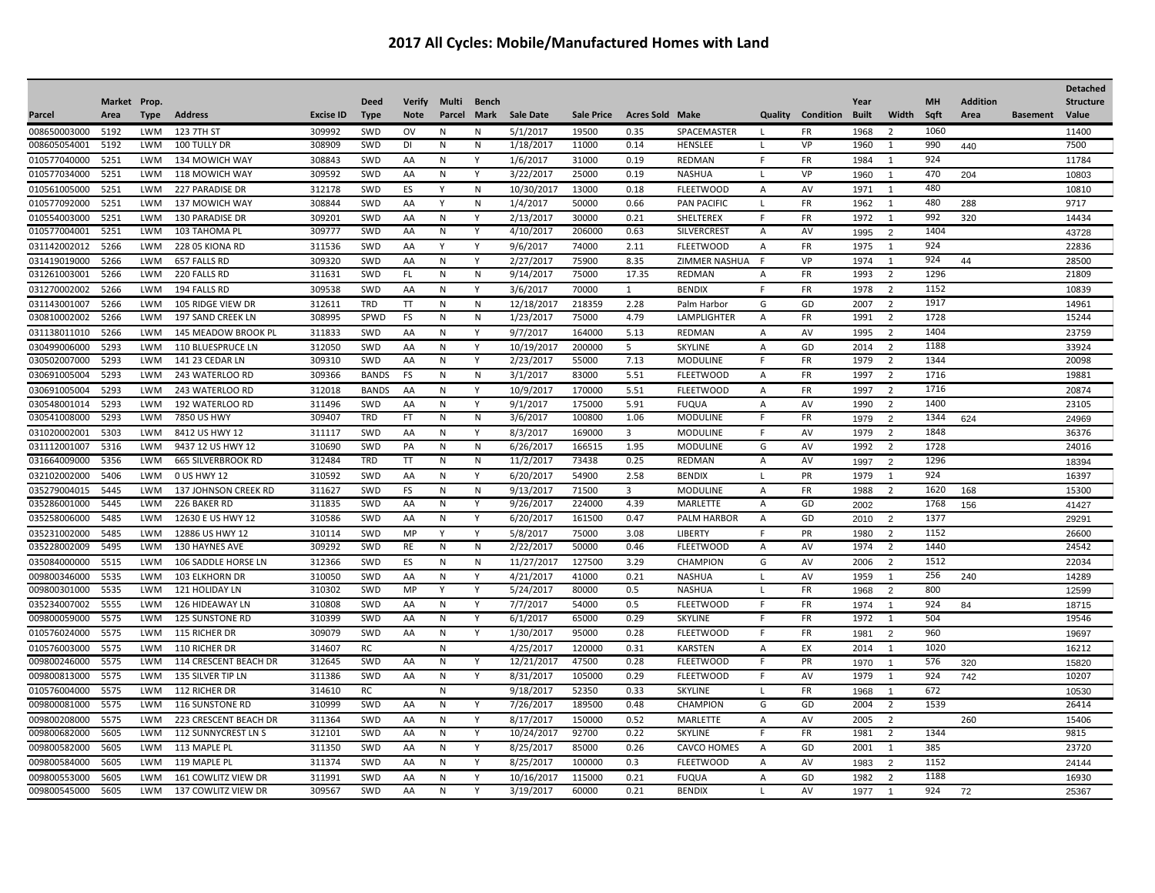|              |              |            |                           |                  |              |               |          |              |                  |                   |                         |                    |                |           |              |                |           |                 |                 | <b>Detached</b>  |
|--------------|--------------|------------|---------------------------|------------------|--------------|---------------|----------|--------------|------------------|-------------------|-------------------------|--------------------|----------------|-----------|--------------|----------------|-----------|-----------------|-----------------|------------------|
|              | Market Prop. |            |                           |                  | <b>Deed</b>  | <b>Verify</b> | Multi    | <b>Bench</b> |                  |                   |                         |                    |                |           | Year         |                | <b>MH</b> | <b>Addition</b> |                 | <b>Structure</b> |
| Parcel       | Area         | Type       | <b>Address</b>            | <b>Excise ID</b> | <b>Type</b>  | <b>Note</b>   | Parcel   | Mark         | <b>Sale Date</b> | <b>Sale Price</b> | <b>Acres Sold Make</b>  |                    | Quality        | Condition | <b>Built</b> | Width          | Sqft      | Area            | <b>Basement</b> | Value            |
| 008650003000 | 5192         | LWM        | 123 7TH ST                | 309992           | SWD          | ov            | N        | N            | 5/1/2017         | 19500             | 0.35                    | SPACEMASTER        | $\mathbf{I}$   | FR        | 1968         | $\overline{2}$ | 1060      |                 |                 | 11400            |
| 008605054001 | 5192         | LWM        | 100 TULLY DR              | 308909           | SWD          | DI            | N        | N            | 1/18/2017        | 11000             | 0.14                    | HENSLEE            | <b>L</b>       | VP        | 1960         | 1              | 990       | 440             |                 | 7500             |
| 010577040000 | 5251         | <b>LWM</b> | 134 MOWICH WAY            | 308843           | SWD          | AA            | <b>N</b> | Y            | 1/6/2017         | 31000             | 0.19                    | <b>REDMAN</b>      | F              | <b>FR</b> | 1984         | 1              | 924       |                 |                 | 11784            |
| 010577034000 | 5251         | <b>LWM</b> | 118 MOWICH WAY            | 309592           | SWD          | AA            | N        | Υ            | 3/22/2017        | 25000             | 0.19                    | <b>NASHUA</b>      | <b>L</b>       | VP        | 1960         | -1             | 470       | 204             |                 | 10803            |
| 010561005000 | 5251         | LWM        | <b>227 PARADISE DR</b>    | 312178           | SWD          | ES            | Y        | N            | 10/30/2017       | 13000             | 0.18                    | <b>FLEETWOOD</b>   | A              | AV        | 1971         | 1              | 480       |                 |                 | 10810            |
| 010577092000 | 5251         | <b>LWM</b> | 137 MOWICH WAY            | 308844           | SWD          | AA            | v        | N            | 1/4/2017         | 50000             | 0.66                    | <b>PAN PACIFIC</b> | -1             | FR        | 1962         | -1             | 480       | 288             |                 | 9717             |
| 010554003000 | 5251         | <b>LWM</b> | <b>130 PARADISE DR</b>    | 309201           | SWD          | AA            | N        | Y            | 2/13/2017        | 30000             | 0.21                    | SHELTEREX          | E              | <b>FR</b> | 1972         | 1              | 992       | 320             |                 | 14434            |
| 010577004001 | 5251         | <b>LWM</b> | 103 TAHOMA PL             | 309777           | SWD          | AA            | N        | Υ            | 4/10/2017        | 206000            | 0.63                    | <b>SILVERCREST</b> | Α              | AV        | 1995         | $\overline{2}$ | 1404      |                 |                 | 43728            |
| 031142002012 | 5266         | <b>LWM</b> | <b>228 05 KIONA RD</b>    | 311536           | SWD          | AA            | Y        | Y            | 9/6/2017         | 74000             | 2.11                    | <b>FLEETWOOD</b>   | A              | <b>FR</b> | 1975         | $\mathbf{1}$   | 924       |                 |                 | 22836            |
| 031419019000 | 5266         | <b>LWM</b> | 657 FALLS RD              | 309320           | SWD          | AA            | N        | Y            | 2/27/2017        | 75900             | 8.35                    | ZIMMER NASHUA      | E              | VP        | 1974         | 1              | 924       | 44              |                 | 28500            |
| 031261003001 | 5266         | LWM        | 220 FALLS RD              | 311631           | SWD          | FL.           | N        | Ν            | 9/14/2017        | 75000             | 17.35                   | REDMAN             | A              | FR        | 1993         | $\overline{2}$ | 1296      |                 |                 | 21809            |
| 031270002002 | 5266         | <b>LWM</b> | 194 FALLS RD              | 309538           | SWD          | AA            | N        | Y            | 3/6/2017         | 70000             | $\mathbf{1}$            | <b>BENDIX</b>      | E              | <b>FR</b> | 1978         | $\overline{2}$ | 1152      |                 |                 | 10839            |
| 031143001007 | 5266         | <b>LWM</b> | 105 RIDGE VIEW DR         | 312611           | <b>TRD</b>   | TT            | N        | N            | 12/18/2017       | 218359            | 2.28                    | Palm Harbor        | G              | GD        | 2007         | $\overline{2}$ | 1917      |                 |                 | 14961            |
| 030810002002 | 5266         | <b>LWM</b> | 197 SAND CREEK LN         | 308995           | SPWD         | FS            | N        | ${\sf N}$    | 1/23/2017        | 75000             | 4.79                    | LAMPLIGHTER        | A              | <b>FR</b> | 1991         | $\overline{2}$ | 1728      |                 |                 | 15244            |
| 031138011010 | 5266         | <b>LWM</b> | 145 MEADOW BROOK PL       | 311833           | SWD          | AA            | N        | Y            | 9/7/2017         | 164000            | 5.13                    | <b>REDMAN</b>      | $\overline{A}$ | AV        | 1995         | $\overline{2}$ | 1404      |                 |                 | 23759            |
| 030499006000 | 5293         | <b>LWM</b> | <b>110 BLUESPRUCE LN</b>  | 312050           | SWD          | AA            | N        | Y            | 10/19/2017       | 200000            | 5                       | <b>SKYLINE</b>     | $\overline{A}$ | GD        | 2014         | $\overline{2}$ | 1188      |                 |                 | 33924            |
| 030502007000 | 5293         | <b>LWM</b> | 141 23 CEDAR LN           | 309310           | SWD          | AA            | N        | Y            | 2/23/2017        | 55000             | 7.13                    | <b>MODULINE</b>    | E              | FR        | 1979         | $\overline{2}$ | 1344      |                 |                 | 20098            |
| 030691005004 | 5293         | <b>LWM</b> | 243 WATERLOO RD           | 309366           | <b>BANDS</b> | FS            | N        | N            | 3/1/2017         | 83000             | 5.51                    | <b>FLEETWOOD</b>   | A              | <b>FR</b> | 1997         | $\overline{2}$ | 1716      |                 |                 | 19881            |
| 030691005004 | 5293         | LWM        | 243 WATERLOO RD           | 312018           | <b>BANDS</b> | AA            | N        | Y            | 10/9/2017        | 170000            | 5.51                    | <b>FLEETWOOD</b>   | A              | <b>FR</b> | 1997         | $\overline{2}$ | 1716      |                 |                 | 20874            |
| 030548001014 | 5293         | <b>LWM</b> | 192 WATERLOO RD           | 311496           | SWD          | AA            | N        | Y            | 9/1/2017         | 175000            | 5.91                    | <b>FUQUA</b>       | A              | AV        | 1990         | $\overline{2}$ | 1400      |                 |                 | 23105            |
| 030541008000 | 5293         | LWM        | 7850 US HWY               | 309407           | <b>TRD</b>   | <b>FT</b>     | N        | N            | 3/6/2017         | 100800            | 1.06                    | <b>MODULINE</b>    | E              | FR        | 1979         | $\overline{2}$ | 1344      | 624             |                 | 24969            |
| 031020002001 | 5303         | <b>LWM</b> | 8412 US HWY 12            | 311117           | SWD          | AA            | N        | Y            | 8/3/2017         | 169000            | $\overline{\mathbf{3}}$ | <b>MODULINE</b>    | E              | AV        | 1979         | $\overline{2}$ | 1848      |                 |                 | 36376            |
| 031112001007 | 5316         | LWM        | 9437 12 US HWY 12         | 310690           | SWD          | PA            | N        | N            | 6/26/2017        | 166515            | 1.95                    | <b>MODULINE</b>    | G              | AV        | 1992         | $\overline{2}$ | 1728      |                 |                 | 24016            |
| 031664009000 | 5356         | <b>LWM</b> | <b>665 SILVERBROOK RD</b> | 312484           | <b>TRD</b>   | TT            | N        | N            | 11/2/2017        | 73438             | 0.25                    | <b>REDMAN</b>      | A              | AV        | 1997         | $\overline{2}$ | 1296      |                 |                 | 18394            |
| 032102002000 | 5406         | LWM        | 0 US HWY 12               | 310592           | SWD          | AA            | N        | Υ            | 6/20/2017        | 54900             | 2.58                    | <b>BENDIX</b>      | $\mathbf{I}$   | PR        | 1979         | 1              | 924       |                 |                 | 16397            |
| 035279004015 | 5445         | <b>LWM</b> | 137 JOHNSON CREEK RD      | 311627           | SWD          | <b>FS</b>     | N        | N            | 9/13/2017        | 71500             | $\overline{\mathbf{3}}$ | <b>MODULINE</b>    | A              | FR        | 1988         | $\overline{2}$ | 1620      | 168             |                 | 15300            |
| 035286001000 | 5445         | <b>LWM</b> | 226 BAKER RD              | 311835           | SWD          | AA            | N        | Y            | 9/26/2017        | 224000            | 4.39                    | <b>MARLETTE</b>    | $\overline{A}$ | GD        | 2002         |                | 1768      | 156             |                 | 41427            |
| 035258006000 | 5485         | <b>LWM</b> | 12630 E US HWY 12         | 310586           | SWD          | AA            | N        | Υ            | 6/20/2017        | 161500            | 0.47                    | PALM HARBOR        | $\overline{A}$ | GD        | 2010         | $\overline{2}$ | 1377      |                 |                 | 29291            |
| 035231002000 | 5485         | <b>LWM</b> | 12886 US HWY 12           | 310114           | SWD          | MP            | Y        | Y            | 5/8/2017         | 75000             | 3.08                    | <b>LIBERTY</b>     | E              | PR        | 1980         | $\overline{2}$ | 1152      |                 |                 | 26600            |
| 035228002009 | 5495         | LWM        | 130 HAYNES AVE            | 309292           | SWD          | RE            | N        | N            | 2/22/2017        | 50000             | 0.46                    | <b>FLEETWOOD</b>   | A              | AV        | 1974         | $\overline{2}$ | 1440      |                 |                 | 24542            |
| 035084000000 | 5515         | <b>LWM</b> | 106 SADDLE HORSE LN       | 312366           | SWD          | ES            | N        | N            | 11/27/2017       | 127500            | 3.29                    | <b>CHAMPION</b>    | G              | AV        | 2006         | $\overline{2}$ | 1512      |                 |                 | 22034            |
| 009800346000 | 5535         | <b>LWM</b> | <b>103 ELKHORN DR</b>     | 310050           | SWD          | AA            | N        | Y            | 4/21/2017        | 41000             | 0.21                    | <b>NASHUA</b>      | L.             | AV        | 1959         | 1              | 256       | 240             |                 | 14289            |
| 009800301000 | 5535         | LWM        | 121 HOLIDAY LN            | 310302           | SWD          | MP            | Y        | Υ            | 5/24/2017        | 80000             | 0.5                     | NASHUA             | L              | <b>FR</b> | 1968         | $\overline{2}$ | 800       |                 |                 | 12599            |
| 035234007002 | 5555         | <b>LWM</b> | 126 HIDEAWAY LN           | 310808           | SWD          | AA            | N        | Υ            | 7/7/2017         | 54000             | 0.5                     | <b>FLEETWOOD</b>   | E              | <b>FR</b> | 1974         | $\overline{1}$ | 924       | 84              |                 | 18715            |
| 009800059000 | 5575         | LWM        | <b>125 SUNSTONE RD</b>    | 310399           | SWD          | AA            | N        | Υ            | 6/1/2017         | 65000             | 0.29                    | SKYLINE            | E              | FR        | 1972         | 1              | 504       |                 |                 | 19546            |
| 010576024000 | 5575         | <b>LWM</b> | 115 RICHER DR             | 309079           | SWD          | AA            | N        | Υ            | 1/30/2017        | 95000             | 0.28                    | <b>FLEETWOOD</b>   | F              | <b>FR</b> | 1981         | $\overline{2}$ | 960       |                 |                 | 19697            |
| 010576003000 | 5575         | LWM        | <b>110 RICHER DR</b>      | 314607           | RC           |               | N        |              | 4/25/2017        | 120000            | 0.31                    | <b>KARSTEN</b>     | A              | EX        | 2014         | 1              | 1020      |                 |                 | 16212            |
| 009800246000 | 5575         | <b>LWM</b> | 114 CRESCENT BEACH DR     | 312645           | SWD          | AA            | N        | Υ            | 12/21/2017       | 47500             | 0.28                    | <b>FLEETWOOD</b>   | F              | PR        | 1970         | $\overline{1}$ | 576       | 320             |                 | 15820            |
| 009800813000 | 5575         | <b>LWM</b> | 135 SILVER TIP LN         | 311386           | SWD          | AA            | N        | Y            | 8/31/2017        | 105000            | 0.29                    | <b>FLEETWOOD</b>   | E              | AV        | 1979         | 1              | 924       | 742             |                 | 10207            |
| 010576004000 | 5575         | LWM        | 112 RICHER DR             | 314610           | <b>RC</b>    |               | N        |              | 9/18/2017        | 52350             | 0.33                    | <b>SKYLINE</b>     | L              | FR        | 1968         | $\overline{1}$ | 672       |                 |                 | 10530            |
| 009800081000 | 5575         | <b>LWM</b> | 116 SUNSTONE RD           | 310999           | SWD          | AA            | N        | Y            | 7/26/2017        | 189500            | 0.48                    | <b>CHAMPION</b>    | G              | GD        | 2004         | $\overline{2}$ | 1539      |                 |                 | 26414            |
| 009800208000 | 5575         | LWM        | 223 CRESCENT BEACH DR     | 311364           | SWD          | AA            | N        | Υ            | 8/17/2017        | 150000            | 0.52                    | MARLETTE           | A              | AV        | 2005         | $\overline{2}$ |           | 260             |                 | 15406            |
| 009800682000 | 5605         | <b>LWM</b> | 112 SUNNYCREST LN S       | 312101           | SWD          | AA            | N        | Y            | 10/24/2017       | 92700             | 0.22                    | SKYLINE            | F              | FR        | 1981         | $\overline{2}$ | 1344      |                 |                 | 9815             |
| 009800582000 | 5605         | <b>LWM</b> | 113 MAPLE PL              | 311350           | SWD          | AA            | N        | Y            | 8/25/2017        | 85000             | 0.26                    | <b>CAVCO HOMES</b> | Α              | GD        | 2001         | 1              | 385       |                 |                 | 23720            |
| 009800584000 | 5605         | <b>LWM</b> | 119 MAPLE PL              | 311374           | SWD          | AA            | N        | Y            | 8/25/2017        | 100000            | 0.3                     | <b>FLEETWOOD</b>   | Α              | AV        | 1983         | $\overline{2}$ | 1152      |                 |                 | 24144            |
| 009800553000 | 5605         | <b>LWM</b> | 161 COWLITZ VIEW DR       | 311991           | SWD          | AA            | N        | Y            | 10/16/2017       | 115000            | 0.21                    | <b>FUQUA</b>       | $\overline{A}$ | GD        | 1982         | $\overline{2}$ | 1188      |                 |                 | 16930            |
| 009800545000 | 5605         | <b>LWM</b> | 137 COWLITZ VIEW DR       | 309567           | <b>SWD</b>   | AA            | N        | Y            | 3/19/2017        | 60000             | 0.21                    | <b>BENDIX</b>      | $\mathbf{I}$   | AV        | 1977         | $\overline{1}$ | 924       | 72              |                 | 25367            |
|              |              |            |                           |                  |              |               |          |              |                  |                   |                         |                    |                |           |              |                |           |                 |                 |                  |